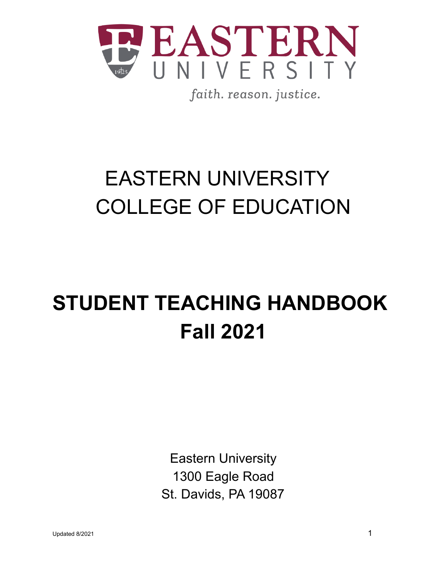

faith. reason. justice.

## EASTERN UNIVERSITY COLLEGE OF EDUCATION

# **STUDENT TEACHING HANDBOOK Fall 2021**

Eastern University 1300 Eagle Road St. Davids, PA 19087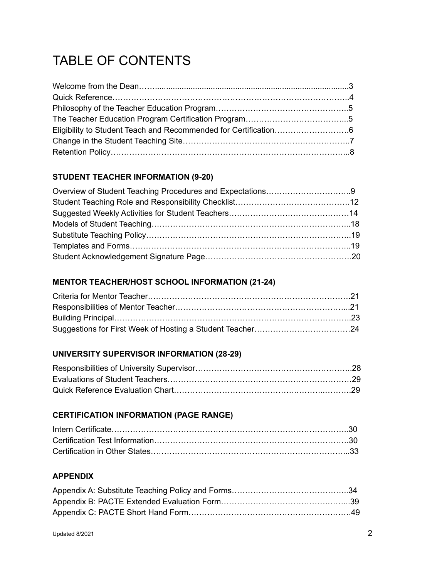## TABLE OF CONTENTS

## **STUDENT TEACHER INFORMATION (9-20)**

## **MENTOR TEACHER/HOST SCHOOL INFORMATION (21-24)**

## **UNIVERSITY SUPERVISOR INFORMATION (28-29)**

## **CERTIFICATION INFORMATION (PAGE RANGE)**

## **APPENDIX**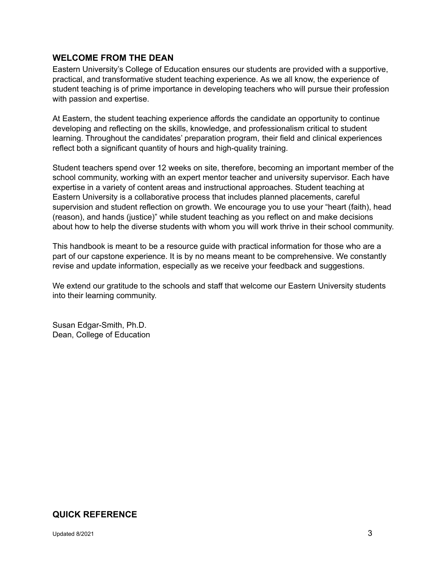## **WELCOME FROM THE DEAN**

Eastern University's College of Education ensures our students are provided with a supportive, practical, and transformative student teaching experience. As we all know, the experience of student teaching is of prime importance in developing teachers who will pursue their profession with passion and expertise.

At Eastern, the student teaching experience affords the candidate an opportunity to continue developing and reflecting on the skills, knowledge, and professionalism critical to student learning. Throughout the candidates' preparation program, their field and clinical experiences reflect both a significant quantity of hours and high-quality training.

Student teachers spend over 12 weeks on site, therefore, becoming an important member of the school community, working with an expert mentor teacher and university supervisor. Each have expertise in a variety of content areas and instructional approaches. Student teaching at Eastern University is a collaborative process that includes planned placements, careful supervision and student reflection on growth. We encourage you to use your "heart (faith), head (reason), and hands (justice)" while student teaching as you reflect on and make decisions about how to help the diverse students with whom you will work thrive in their school community.

This handbook is meant to be a resource guide with practical information for those who are a part of our capstone experience. It is by no means meant to be comprehensive. We constantly revise and update information, especially as we receive your feedback and suggestions.

We extend our gratitude to the schools and staff that welcome our Eastern University students into their learning community.

Susan Edgar-Smith, Ph.D. Dean, College of Education

## **QUICK REFERENCE**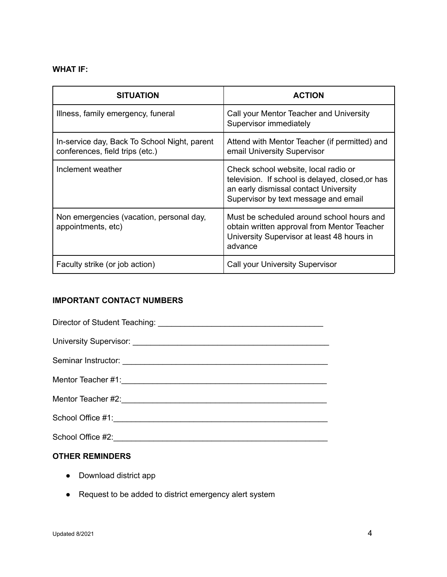## **WHAT IF:**

| <b>SITUATION</b>                                                                | <b>ACTION</b>                                                                                                                                                             |
|---------------------------------------------------------------------------------|---------------------------------------------------------------------------------------------------------------------------------------------------------------------------|
| Illness, family emergency, funeral                                              | Call your Mentor Teacher and University<br>Supervisor immediately                                                                                                         |
| In-service day, Back To School Night, parent<br>conferences, field trips (etc.) | Attend with Mentor Teacher (if permitted) and<br>email University Supervisor                                                                                              |
| Inclement weather                                                               | Check school website, local radio or<br>television. If school is delayed, closed, or has<br>an early dismissal contact University<br>Supervisor by text message and email |
| Non emergencies (vacation, personal day,<br>appointments, etc)                  | Must be scheduled around school hours and<br>obtain written approval from Mentor Teacher<br>University Supervisor at least 48 hours in<br>advance                         |
| Faculty strike (or job action)                                                  | Call your University Supervisor                                                                                                                                           |

## **IMPORTANT CONTACT NUMBERS**

## **OTHER REMINDERS**

- Download district app
- Request to be added to district emergency alert system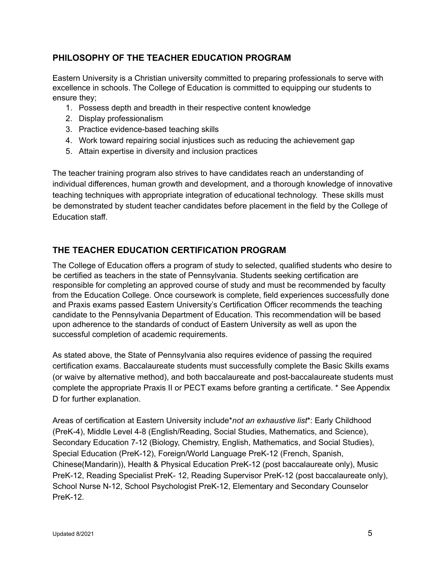## **PHILOSOPHY OF THE TEACHER EDUCATION PROGRAM**

Eastern University is a Christian university committed to preparing professionals to serve with excellence in schools. The College of Education is committed to equipping our students to ensure they;

- 1. Possess depth and breadth in their respective content knowledge
- 2. Display professionalism
- 3. Practice evidence-based teaching skills
- 4. Work toward repairing social injustices such as reducing the achievement gap
- 5. Attain expertise in diversity and inclusion practices

The teacher training program also strives to have candidates reach an understanding of individual differences, human growth and development, and a thorough knowledge of innovative teaching techniques with appropriate integration of educational technology. These skills must be demonstrated by student teacher candidates before placement in the field by the College of Education staff.

## **THE TEACHER EDUCATION CERTIFICATION PROGRAM**

The College of Education offers a program of study to selected, qualified students who desire to be certified as teachers in the state of Pennsylvania. Students seeking certification are responsible for completing an approved course of study and must be recommended by faculty from the Education College. Once coursework is complete, field experiences successfully done and Praxis exams passed Eastern University's Certification Officer recommends the teaching candidate to the Pennsylvania Department of Education. This recommendation will be based upon adherence to the standards of conduct of Eastern University as well as upon the successful completion of academic requirements.

As stated above, the State of Pennsylvania also requires evidence of passing the required certification exams. Baccalaureate students must successfully complete the Basic Skills exams (or waive by alternative method), and both baccalaureate and post-baccalaureate students must complete the appropriate Praxis II or PECT exams before granting a certificate. \* See Appendix D for further explanation.

Areas of certification at Eastern University include\**not an exhaustive list*\*: Early Childhood (PreK-4), Middle Level 4-8 (English/Reading, Social Studies, Mathematics, and Science), Secondary Education 7-12 (Biology, Chemistry, English, Mathematics, and Social Studies), Special Education (PreK-12), Foreign/World Language PreK-12 (French, Spanish, Chinese(Mandarin)), Health & Physical Education PreK-12 (post baccalaureate only), Music PreK-12, Reading Specialist PreK- 12, Reading Supervisor PreK-12 (post baccalaureate only), School Nurse N-12, School Psychologist PreK-12, Elementary and Secondary Counselor PreK-12.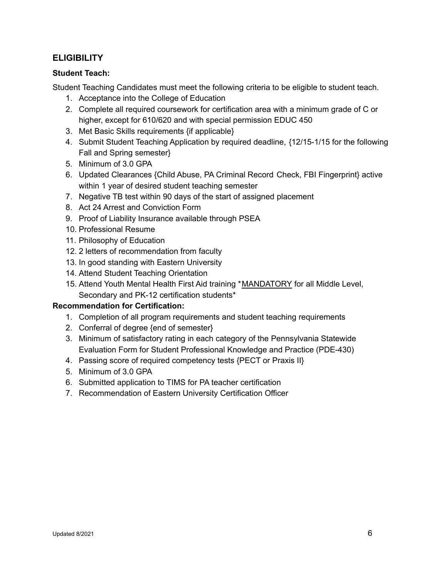## **ELIGIBILITY**

## **Student Teach:**

Student Teaching Candidates must meet the following criteria to be eligible to student teach.

- 1. Acceptance into the College of Education
- 2. Complete all required coursework for certification area with a minimum grade of C or higher, except for 610/620 and with special permission EDUC 450
- 3. Met Basic Skills requirements {if applicable}
- 4. Submit Student Teaching Application by required deadline, {12/15-1/15 for the following Fall and Spring semester}
- 5. Minimum of 3.0 GPA
- 6. Updated Clearances {Child Abuse, PA Criminal Record Check, FBI Fingerprint} active within 1 year of desired student teaching semester
- 7. Negative TB test within 90 days of the start of assigned placement
- 8. Act 24 Arrest and Conviction Form
- 9. Proof of Liability Insurance available through PSEA
- 10. Professional Resume
- 11. Philosophy of Education
- 12. 2 letters of recommendation from faculty
- 13. In good standing with Eastern University
- 14. Attend Student Teaching Orientation
- 15. Attend Youth Mental Health First Aid training \*MANDATORY for all Middle Level, Secondary and PK-12 certification students\*

## **Recommendation for Certification:**

- 1. Completion of all program requirements and student teaching requirements
- 2. Conferral of degree {end of semester}
- 3. Minimum of satisfactory rating in each category of the Pennsylvania Statewide Evaluation Form for Student Professional Knowledge and Practice (PDE-430)
- 4. Passing score of required competency tests {PECT or Praxis II}
- 5. Minimum of 3.0 GPA
- 6. Submitted application to TIMS for PA teacher certification
- 7. Recommendation of Eastern University Certification Officer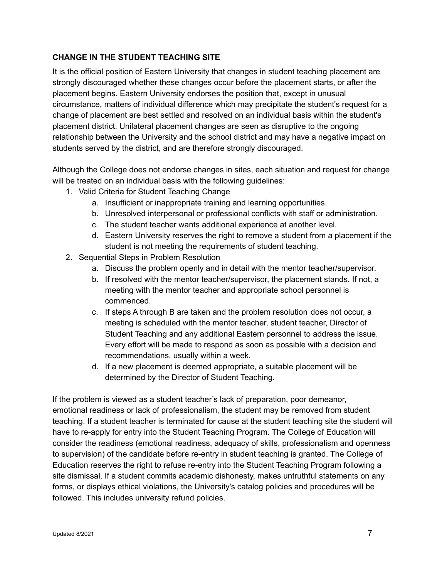## **CHANGE IN THE STUDENT TEACHING SITE**

It is the official position of Eastern University that changes in student teaching placement are strongly discouraged whether these changes occur before the placement starts, or after the placement begins. Eastern University endorses the position that, except in unusual circumstance, matters of individual difference which may precipitate the student's request for a change of placement are best settled and resolved on an individual basis within the student's placement district. Unilateral placement changes are seen as disruptive to the ongoing relationship between the University and the school district and may have a negative impact on students served by the district, and are therefore strongly discouraged.

Although the College does not endorse changes in sites, each situation and request for change will be treated on an individual basis with the following guidelines:

- 1. Valid Criteria for Student Teaching Change
	- a. Insufficient or inappropriate training and learning opportunities.
	- b. Unresolved interpersonal or professional conflicts with staff or administration.
	- c. The student teacher wants additional experience at another level.
	- d. Eastern University reserves the right to remove a student from a placement if the student is not meeting the requirements of student teaching.
- 2. Sequential Steps in Problem Resolution
	- a. Discuss the problem openly and in detail with the mentor teacher/supervisor.
	- b. If resolved with the mentor teacher/supervisor, the placement stands. If not, a meeting with the mentor teacher and appropriate school personnel is commenced.
	- c. If steps A through B are taken and the problem resolution does not occur, a meeting is scheduled with the mentor teacher, student teacher, Director of Student Teaching and any additional Eastern personnel to address the issue. Every effort will be made to respond as soon as possible with a decision and recommendations, usually within a week.
	- d. If a new placement is deemed appropriate, a suitable placement will be determined by the Director of Student Teaching.

If the problem is viewed as a student teacher's lack of preparation, poor demeanor, emotional readiness or lack of professionalism, the student may be removed from student teaching. If a student teacher is terminated for cause at the student teaching site the student will have to re-apply for entry into the Student Teaching Program. The College of Education will consider the readiness (emotional readiness, adequacy of skills, professionalism and openness to supervision) of the candidate before re-entry in student teaching is granted. The College of Education reserves the right to refuse re-entry into the Student Teaching Program following a site dismissal. If a student commits academic dishonesty, makes untruthful statements on any forms, or displays ethical violations, the University's catalog policies and procedures will be followed. This includes university refund policies.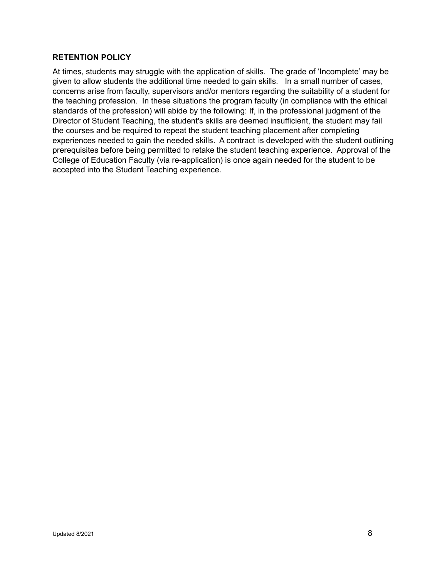#### **RETENTION POLICY**

At times, students may struggle with the application of skills. The grade of 'Incomplete' may be given to allow students the additional time needed to gain skills. In a small number of cases, concerns arise from faculty, supervisors and/or mentors regarding the suitability of a student for the teaching profession. In these situations the program faculty (in compliance with the ethical standards of the profession) will abide by the following: If, in the professional judgment of the Director of Student Teaching, the student's skills are deemed insufficient, the student may fail the courses and be required to repeat the student teaching placement after completing experiences needed to gain the needed skills. A contract is developed with the student outlining prerequisites before being permitted to retake the student teaching experience. Approval of the College of Education Faculty (via re-application) is once again needed for the student to be accepted into the Student Teaching experience.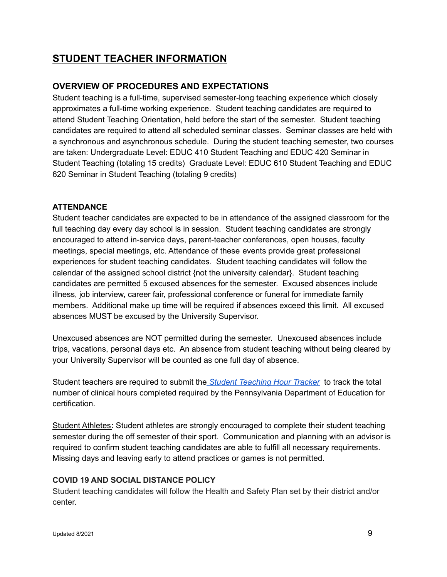## **STUDENT TEACHER INFORMATION**

## **OVERVIEW OF PROCEDURES AND EXPECTATIONS**

Student teaching is a full-time, supervised semester-long teaching experience which closely approximates a full-time working experience. Student teaching candidates are required to attend Student Teaching Orientation, held before the start of the semester. Student teaching candidates are required to attend all scheduled seminar classes. Seminar classes are held with a synchronous and asynchronous schedule. During the student teaching semester, two courses are taken: Undergraduate Level: EDUC 410 Student Teaching and EDUC 420 Seminar in Student Teaching (totaling 15 credits) Graduate Level: EDUC 610 Student Teaching and EDUC 620 Seminar in Student Teaching (totaling 9 credits)

## **ATTENDANCE**

Student teacher candidates are expected to be in attendance of the assigned classroom for the full teaching day every day school is in session. Student teaching candidates are strongly encouraged to attend in-service days, parent-teacher conferences, open houses, faculty meetings, special meetings, etc. Attendance of these events provide great professional experiences for student teaching candidates. Student teaching candidates will follow the calendar of the assigned school district {not the university calendar}. Student teaching candidates are permitted 5 excused absences for the semester. Excused absences include illness, job interview, career fair, professional conference or funeral for immediate family members. Additional make up time will be required if absences exceed this limit. All excused absences MUST be excused by the University Supervisor.

Unexcused absences are NOT permitted during the semester. Unexcused absences include trips, vacations, personal days etc. An absence from student teaching without being cleared by your University Supervisor will be counted as one full day of absence.

Student teachers are required to submit the *Student [Teaching](https://docs.google.com/document/d/1y0MVesj-zIUZlQdMhTwYI0my24ity8BidHlLhie3hTY/edit) Hour Tracker* to track the total number of clinical hours completed required by the Pennsylvania Department of Education for certification.

Student Athletes: Student athletes are strongly encouraged to complete their student teaching semester during the off semester of their sport. Communication and planning with an advisor is required to confirm student teaching candidates are able to fulfill all necessary requirements. Missing days and leaving early to attend practices or games is not permitted.

## **COVID 19 AND SOCIAL DISTANCE POLICY**

Student teaching candidates will follow the Health and Safety Plan set by their district and/or center.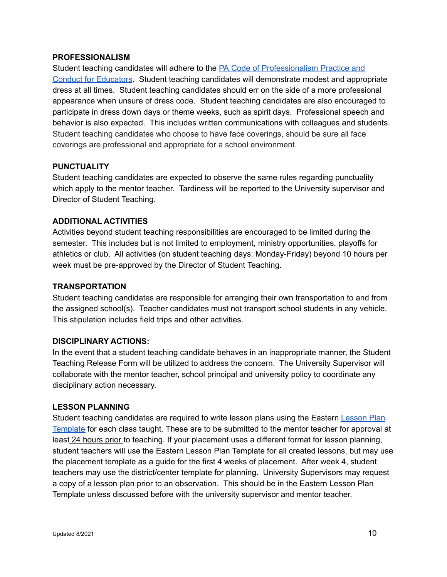#### **PROFESSIONALISM**

Student teaching candidates will adhere to the PA Code of [Professionalism](https://www.pacode.com/secure/data/022/chapter235/chap235toc.html) Practice and Conduct for [Educators](https://www.pacode.com/secure/data/022/chapter235/chap235toc.html). Student teaching candidates will demonstrate modest and appropriate dress at all times. Student teaching candidates should err on the side of a more professional appearance when unsure of dress code. Student teaching candidates are also encouraged to participate in dress down days or theme weeks, such as spirit days. Professional speech and behavior is also expected. This includes written communications with colleagues and students. Student teaching candidates who choose to have face coverings, should be sure all face coverings are professional and appropriate for a school environment.

## **PUNCTUALITY**

Student teaching candidates are expected to observe the same rules regarding punctuality which apply to the mentor teacher. Tardiness will be reported to the University supervisor and Director of Student Teaching.

## **ADDITIONAL ACTIVITIES**

Activities beyond student teaching responsibilities are encouraged to be limited during the semester. This includes but is not limited to employment, ministry opportunities, playoffs for athletics or club. All activities (on student teaching days: Monday-Friday) beyond 10 hours per week must be pre-approved by the Director of Student Teaching.

## **TRANSPORTATION**

Student teaching candidates are responsible for arranging their own transportation to and from the assigned school(s). Teacher candidates must not transport school students in any vehicle. This stipulation includes field trips and other activities.

## **DISCIPLINARY ACTIONS:**

In the event that a student teaching candidate behaves in an inappropriate manner, the Student Teaching Release Form will be utilized to address the concern. The University Supervisor will collaborate with the mentor teacher, school principal and university policy to coordinate any disciplinary action necessary.

## **LESSON PLANNING**

Student teaching candidates are required to write lesson plans using the Eastern [Lesson](https://docs.google.com/document/d/1JnPBb8RomFYo9Q5Du-SHNi-X9bImehZN__KrLA6qcJ4/edit?usp=sharing) Plan [Template](https://docs.google.com/document/d/1JnPBb8RomFYo9Q5Du-SHNi-X9bImehZN__KrLA6qcJ4/edit?usp=sharing) for each class taught. These are to be submitted to the mentor teacher for approval at least 24 hours prior to teaching. If your placement uses a different format for lesson planning, student teachers will use the Eastern Lesson Plan Template for all created lessons, but may use the placement template as a guide for the first 4 weeks of placement. After week 4, student teachers may use the district/center template for planning. University Supervisors may request a copy of a lesson plan prior to an observation. This should be in the Eastern Lesson Plan Template unless discussed before with the university supervisor and mentor teacher.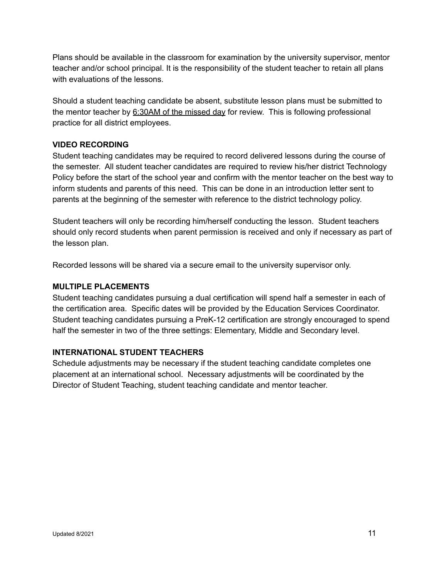Plans should be available in the classroom for examination by the university supervisor, mentor teacher and/or school principal. It is the responsibility of the student teacher to retain all plans with evaluations of the lessons.

Should a student teaching candidate be absent, substitute lesson plans must be submitted to the mentor teacher by 6:30AM of the missed day for review. This is following professional practice for all district employees.

## **VIDEO RECORDING**

Student teaching candidates may be required to record delivered lessons during the course of the semester. All student teacher candidates are required to review his/her district Technology Policy before the start of the school year and confirm with the mentor teacher on the best way to inform students and parents of this need. This can be done in an introduction letter sent to parents at the beginning of the semester with reference to the district technology policy.

Student teachers will only be recording him/herself conducting the lesson. Student teachers should only record students when parent permission is received and only if necessary as part of the lesson plan.

Recorded lessons will be shared via a secure email to the university supervisor only.

## **MULTIPLE PLACEMENTS**

Student teaching candidates pursuing a dual certification will spend half a semester in each of the certification area. Specific dates will be provided by the Education Services Coordinator. Student teaching candidates pursuing a PreK-12 certification are strongly encouraged to spend half the semester in two of the three settings: Elementary, Middle and Secondary level.

## **INTERNATIONAL STUDENT TEACHERS**

Schedule adjustments may be necessary if the student teaching candidate completes one placement at an international school. Necessary adjustments will be coordinated by the Director of Student Teaching, student teaching candidate and mentor teacher.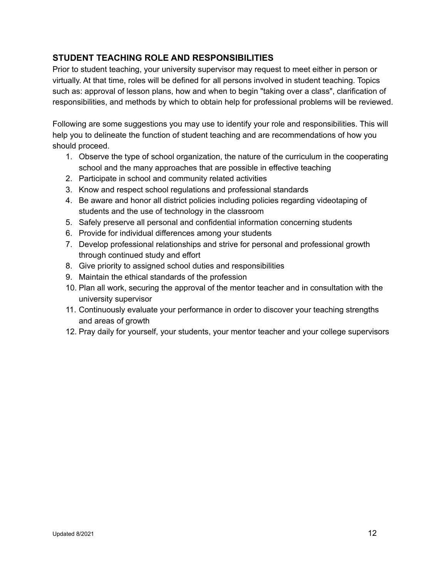## **STUDENT TEACHING ROLE AND RESPONSIBILITIES**

Prior to student teaching, your university supervisor may request to meet either in person or virtually. At that time, roles will be defined for all persons involved in student teaching. Topics such as: approval of lesson plans, how and when to begin "taking over a class", clarification of responsibilities, and methods by which to obtain help for professional problems will be reviewed.

Following are some suggestions you may use to identify your role and responsibilities. This will help you to delineate the function of student teaching and are recommendations of how you should proceed.

- 1. Observe the type of school organization, the nature of the curriculum in the cooperating school and the many approaches that are possible in effective teaching
- 2. Participate in school and community related activities
- 3. Know and respect school regulations and professional standards
- 4. Be aware and honor all district policies including policies regarding videotaping of students and the use of technology in the classroom
- 5. Safely preserve all personal and confidential information concerning students
- 6. Provide for individual differences among your students
- 7. Develop professional relationships and strive for personal and professional growth through continued study and effort
- 8. Give priority to assigned school duties and responsibilities
- 9. Maintain the ethical standards of the profession
- 10. Plan all work, securing the approval of the mentor teacher and in consultation with the university supervisor
- 11. Continuously evaluate your performance in order to discover your teaching strengths and areas of growth
- 12. Pray daily for yourself, your students, your mentor teacher and your college supervisors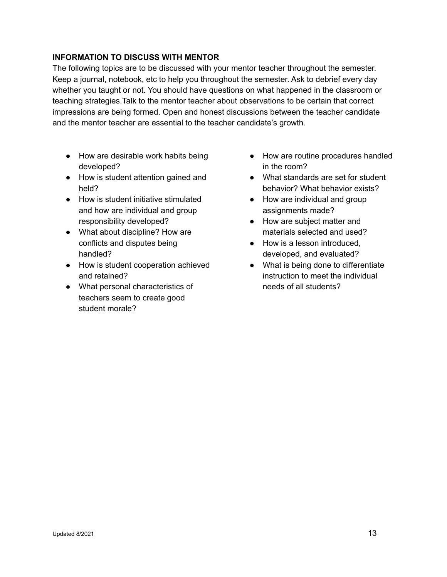## **INFORMATION TO DISCUSS WITH MENTOR**

The following topics are to be discussed with your mentor teacher throughout the semester. Keep a journal, notebook, etc to help you throughout the semester. Ask to debrief every day whether you taught or not. You should have questions on what happened in the classroom or teaching strategies.Talk to the mentor teacher about observations to be certain that correct impressions are being formed. Open and honest discussions between the teacher candidate and the mentor teacher are essential to the teacher candidate's growth.

- How are desirable work habits being developed?
- How is student attention gained and held?
- How is student initiative stimulated and how are individual and group responsibility developed?
- What about discipline? How are conflicts and disputes being handled?
- How is student cooperation achieved and retained?
- What personal characteristics of teachers seem to create good student morale?
- How are routine procedures handled in the room?
- What standards are set for student behavior? What behavior exists?
- How are individual and group assignments made?
- How are subject matter and materials selected and used?
- How is a lesson introduced. developed, and evaluated?
- What is being done to differentiate instruction to meet the individual needs of all students?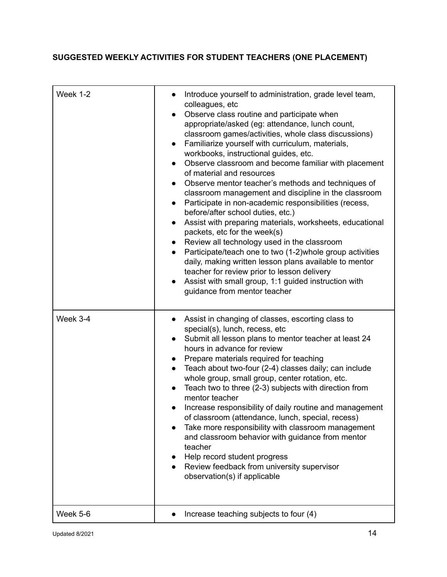## **SUGGESTED WEEKLY ACTIVITIES FOR STUDENT TEACHERS (ONE PLACEMENT)**

| Week 1-2 | Introduce yourself to administration, grade level team,<br>colleagues, etc<br>Observe class routine and participate when<br>appropriate/asked (eg: attendance, lunch count,<br>classroom games/activities, whole class discussions)<br>Familiarize yourself with curriculum, materials,<br>workbooks, instructional guides, etc.<br>Observe classroom and become familiar with placement<br>of material and resources<br>Observe mentor teacher's methods and techniques of<br>classroom management and discipline in the classroom<br>Participate in non-academic responsibilities (recess,<br>before/after school duties, etc.)<br>Assist with preparing materials, worksheets, educational<br>$\bullet$<br>packets, etc for the week(s)<br>Review all technology used in the classroom<br>Participate/teach one to two (1-2) whole group activities<br>$\bullet$<br>daily, making written lesson plans available to mentor<br>teacher for review prior to lesson delivery<br>Assist with small group, 1:1 guided instruction with<br>guidance from mentor teacher |
|----------|----------------------------------------------------------------------------------------------------------------------------------------------------------------------------------------------------------------------------------------------------------------------------------------------------------------------------------------------------------------------------------------------------------------------------------------------------------------------------------------------------------------------------------------------------------------------------------------------------------------------------------------------------------------------------------------------------------------------------------------------------------------------------------------------------------------------------------------------------------------------------------------------------------------------------------------------------------------------------------------------------------------------------------------------------------------------|
| Week 3-4 | Assist in changing of classes, escorting class to<br>special(s), lunch, recess, etc<br>Submit all lesson plans to mentor teacher at least 24<br>$\bullet$<br>hours in advance for review<br>Prepare materials required for teaching<br>Teach about two-four (2-4) classes daily; can include<br>whole group, small group, center rotation, etc.<br>Teach two to three (2-3) subjects with direction from<br>mentor teacher<br>Increase responsibility of daily routine and management<br>of classroom (attendance, lunch, special, recess)<br>Take more responsibility with classroom management<br>$\bullet$<br>and classroom behavior with guidance from mentor<br>teacher<br>Help record student progress<br>Review feedback from university supervisor<br>observation(s) if applicable                                                                                                                                                                                                                                                                           |
| Week 5-6 | Increase teaching subjects to four (4)                                                                                                                                                                                                                                                                                                                                                                                                                                                                                                                                                                                                                                                                                                                                                                                                                                                                                                                                                                                                                               |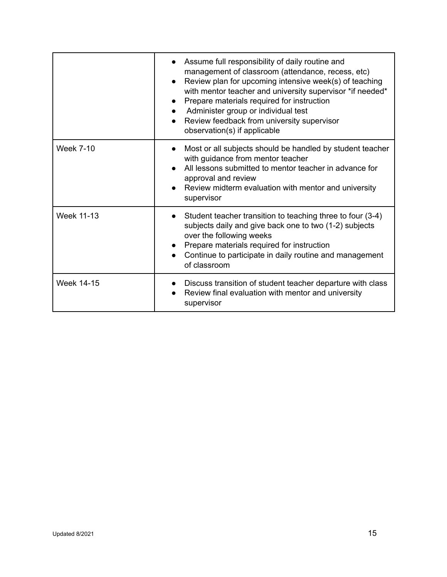|                   | Assume full responsibility of daily routine and<br>management of classroom (attendance, recess, etc)<br>Review plan for upcoming intensive week(s) of teaching<br>$\bullet$<br>with mentor teacher and university supervisor *if needed*<br>Prepare materials required for instruction<br>Administer group or individual test<br>Review feedback from university supervisor<br>$\bullet$<br>observation(s) if applicable |
|-------------------|--------------------------------------------------------------------------------------------------------------------------------------------------------------------------------------------------------------------------------------------------------------------------------------------------------------------------------------------------------------------------------------------------------------------------|
| <b>Week 7-10</b>  | Most or all subjects should be handled by student teacher<br>$\bullet$<br>with guidance from mentor teacher<br>All lessons submitted to mentor teacher in advance for<br>approval and review<br>Review midterm evaluation with mentor and university<br>supervisor                                                                                                                                                       |
| <b>Week 11-13</b> | Student teacher transition to teaching three to four (3-4)<br>$\bullet$<br>subjects daily and give back one to two (1-2) subjects<br>over the following weeks<br>Prepare materials required for instruction<br>Continue to participate in daily routine and management<br>of classroom                                                                                                                                   |
| <b>Week 14-15</b> | Discuss transition of student teacher departure with class<br>Review final evaluation with mentor and university<br>supervisor                                                                                                                                                                                                                                                                                           |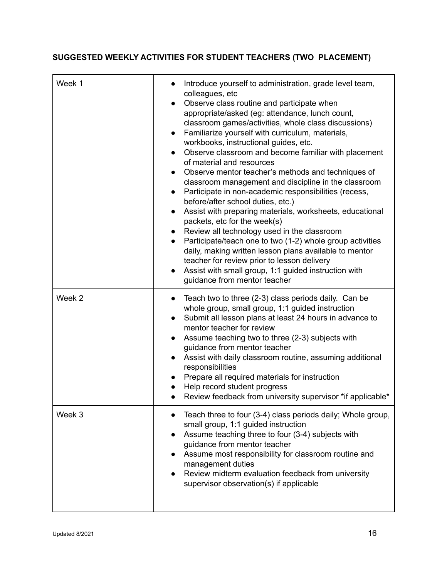## **SUGGESTED WEEKLY ACTIVITIES FOR STUDENT TEACHERS (TWO PLACEMENT)**

| Week 1 | Introduce yourself to administration, grade level team,<br>$\bullet$<br>colleagues, etc<br>Observe class routine and participate when<br>$\bullet$<br>appropriate/asked (eg: attendance, lunch count,<br>classroom games/activities, whole class discussions)<br>Familiarize yourself with curriculum, materials,<br>$\bullet$<br>workbooks, instructional guides, etc.<br>Observe classroom and become familiar with placement<br>$\bullet$<br>of material and resources<br>Observe mentor teacher's methods and techniques of<br>$\bullet$<br>classroom management and discipline in the classroom<br>Participate in non-academic responsibilities (recess,<br>$\bullet$<br>before/after school duties, etc.)<br>Assist with preparing materials, worksheets, educational<br>$\bullet$<br>packets, etc for the week(s)<br>Review all technology used in the classroom<br>$\bullet$<br>Participate/teach one to two (1-2) whole group activities<br>$\bullet$<br>daily, making written lesson plans available to mentor<br>teacher for review prior to lesson delivery<br>Assist with small group, 1:1 guided instruction with<br>$\bullet$<br>guidance from mentor teacher |
|--------|------------------------------------------------------------------------------------------------------------------------------------------------------------------------------------------------------------------------------------------------------------------------------------------------------------------------------------------------------------------------------------------------------------------------------------------------------------------------------------------------------------------------------------------------------------------------------------------------------------------------------------------------------------------------------------------------------------------------------------------------------------------------------------------------------------------------------------------------------------------------------------------------------------------------------------------------------------------------------------------------------------------------------------------------------------------------------------------------------------------------------------------------------------------------------|
| Week 2 | Teach two to three (2-3) class periods daily. Can be<br>$\bullet$<br>whole group, small group, 1:1 guided instruction<br>Submit all lesson plans at least 24 hours in advance to<br>$\bullet$<br>mentor teacher for review<br>Assume teaching two to three (2-3) subjects with<br>$\bullet$<br>guidance from mentor teacher<br>Assist with daily classroom routine, assuming additional<br>$\bullet$<br>responsibilities<br>Prepare all required materials for instruction<br>Help record student progress<br>Review feedback from university supervisor *if applicable*                                                                                                                                                                                                                                                                                                                                                                                                                                                                                                                                                                                                     |
| Week 3 | Teach three to four (3-4) class periods daily; Whole group,<br>small group, 1:1 guided instruction<br>Assume teaching three to four (3-4) subjects with<br>guidance from mentor teacher<br>Assume most responsibility for classroom routine and<br>$\bullet$<br>management duties<br>Review midterm evaluation feedback from university<br>supervisor observation(s) if applicable                                                                                                                                                                                                                                                                                                                                                                                                                                                                                                                                                                                                                                                                                                                                                                                           |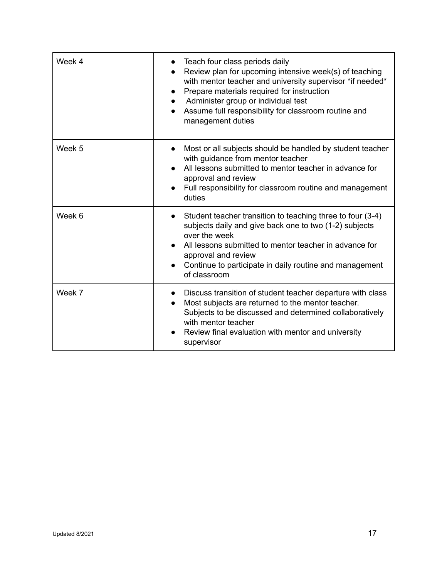| Week 4 | Teach four class periods daily<br>Review plan for upcoming intensive week(s) of teaching<br>with mentor teacher and university supervisor *if needed*<br>Prepare materials required for instruction<br>Administer group or individual test<br>Assume full responsibility for classroom routine and<br>management duties |
|--------|-------------------------------------------------------------------------------------------------------------------------------------------------------------------------------------------------------------------------------------------------------------------------------------------------------------------------|
| Week 5 | Most or all subjects should be handled by student teacher<br>$\bullet$<br>with guidance from mentor teacher<br>All lessons submitted to mentor teacher in advance for<br>approval and review<br>Full responsibility for classroom routine and management<br>duties                                                      |
| Week 6 | Student teacher transition to teaching three to four (3-4)<br>$\bullet$<br>subjects daily and give back one to two (1-2) subjects<br>over the week<br>All lessons submitted to mentor teacher in advance for<br>approval and review<br>Continue to participate in daily routine and management<br>of classroom          |
| Week 7 | Discuss transition of student teacher departure with class<br>Most subjects are returned to the mentor teacher.<br>Subjects to be discussed and determined collaboratively<br>with mentor teacher<br>Review final evaluation with mentor and university<br>supervisor                                                   |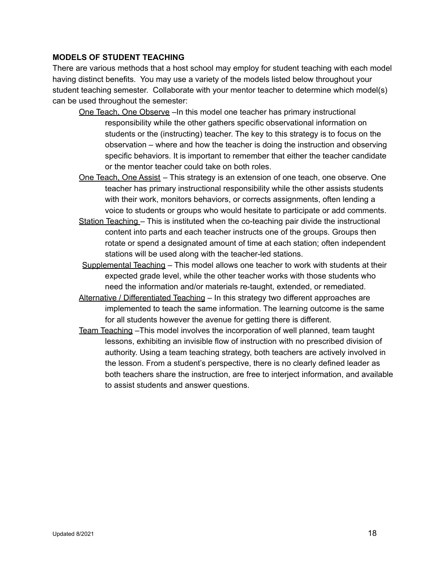#### **MODELS OF STUDENT TEACHING**

There are various methods that a host school may employ for student teaching with each model having distinct benefits. You may use a variety of the models listed below throughout your student teaching semester. Collaborate with your mentor teacher to determine which model(s) can be used throughout the semester:

- One Teach, One Observe –In this model one teacher has primary instructional responsibility while the other gathers specific observational information on students or the (instructing) teacher. The key to this strategy is to focus on the observation – where and how the teacher is doing the instruction and observing specific behaviors. It is important to remember that either the teacher candidate or the mentor teacher could take on both roles.
- One Teach, One Assist This strategy is an extension of one teach, one observe. One teacher has primary instructional responsibility while the other assists students with their work, monitors behaviors, or corrects assignments, often lending a voice to students or groups who would hesitate to participate or add comments.
- Station Teaching This is instituted when the co-teaching pair divide the instructional content into parts and each teacher instructs one of the groups. Groups then rotate or spend a designated amount of time at each station; often independent stations will be used along with the teacher-led stations.
- Supplemental Teaching This model allows one teacher to work with students at their expected grade level, while the other teacher works with those students who need the information and/or materials re-taught, extended, or remediated.
- Alternative / Differentiated Teaching In this strategy two different approaches are implemented to teach the same information. The learning outcome is the same for all students however the avenue for getting there is different.
- Team Teaching –This model involves the incorporation of well planned, team taught lessons, exhibiting an invisible flow of instruction with no prescribed division of authority. Using a team teaching strategy, both teachers are actively involved in the lesson. From a student's perspective, there is no clearly defined leader as both teachers share the instruction, are free to interject information, and available to assist students and answer questions.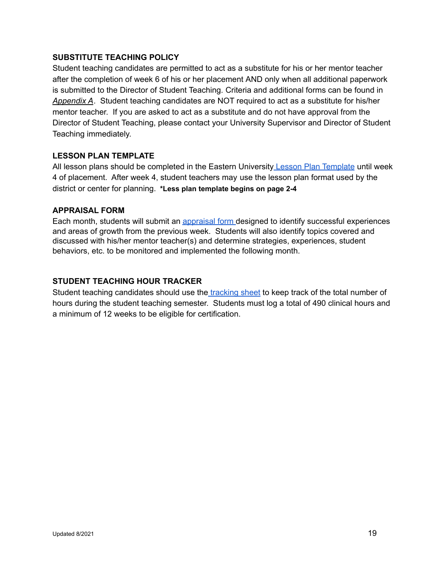## **SUBSTITUTE TEACHING POLICY**

Student teaching candidates are permitted to act as a substitute for his or her mentor teacher after the completion of week 6 of his or her placement AND only when all additional paperwork is submitted to the Director of Student Teaching. Criteria and additional forms can be found in *Appendix A*. Student teaching candidates are NOT required to act as a substitute for his/her mentor teacher. If you are asked to act as a substitute and do not have approval from the Director of Student Teaching, please contact your University Supervisor and Director of Student Teaching immediately.

## **LESSON PLAN TEMPLATE**

All lesson plans should be completed in the Eastern University Lesson Plan [Template](https://docs.google.com/document/d/1JnPBb8RomFYo9Q5Du-SHNi-X9bImehZN__KrLA6qcJ4/edit?usp=sharing) until week 4 of placement. After week 4, student teachers may use the lesson plan format used by the district or center for planning. **\*Less plan template begins on page 2-4**

## **APPRAISAL FORM**

Each month, students will submit an [appraisal](https://docs.google.com/document/d/16BYFQhejTM0ZZch7pD0lErdaRTCMmkLZPEav2xo4VpY/edit?usp=sharing) form designed to identify successful experiences and areas of growth from the previous week. Students will also identify topics covered and discussed with his/her mentor teacher(s) and determine strategies, experiences, student behaviors, etc. to be monitored and implemented the following month.

## **STUDENT TEACHING HOUR TRACKER**

Student teaching candidates should use the [tracking](https://docs.google.com/document/d/1y0MVesj-zIUZlQdMhTwYI0my24ity8BidHlLhie3hTY/edit?usp=sharing) sheet to keep track of the total number of hours during the student teaching semester. Students must log a total of 490 clinical hours and a minimum of 12 weeks to be eligible for certification.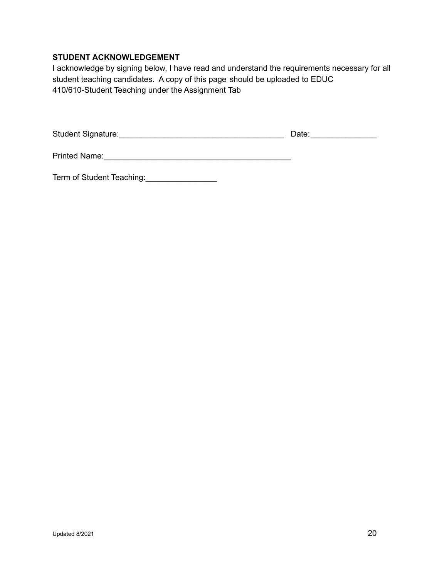## **STUDENT ACKNOWLEDGEMENT**

I acknowledge by signing below, I have read and understand the requirements necessary for all student teaching candidates. A copy of this page should be uploaded to EDUC 410/610-Student Teaching under the Assignment Tab

Student Signature:\_\_\_\_\_\_\_\_\_\_\_\_\_\_\_\_\_\_\_\_\_\_\_\_\_\_\_\_\_\_\_\_\_\_\_\_\_ Date:\_\_\_\_\_\_\_\_\_\_\_\_\_\_\_

Printed Name:\_\_\_\_\_\_\_\_\_\_\_\_\_\_\_\_\_\_\_\_\_\_\_\_\_\_\_\_\_\_\_\_\_\_\_\_\_\_\_\_\_\_

Term of Student Teaching: \_\_\_\_\_\_\_\_\_\_\_\_\_\_\_\_\_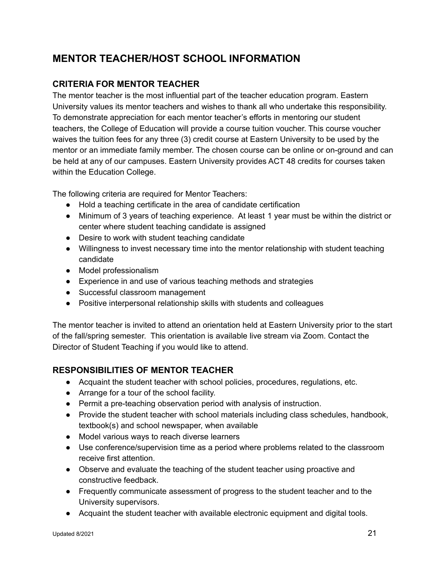## **MENTOR TEACHER/HOST SCHOOL INFORMATION**

## **CRITERIA FOR MENTOR TEACHER**

The mentor teacher is the most influential part of the teacher education program. Eastern University values its mentor teachers and wishes to thank all who undertake this responsibility. To demonstrate appreciation for each mentor teacher's efforts in mentoring our student teachers, the College of Education will provide a course tuition voucher. This course voucher waives the tuition fees for any three (3) credit course at Eastern University to be used by the mentor or an immediate family member. The chosen course can be online or on-ground and can be held at any of our campuses. Eastern University provides ACT 48 credits for courses taken within the Education College.

The following criteria are required for Mentor Teachers:

- Hold a teaching certificate in the area of candidate certification
- Minimum of 3 years of teaching experience. At least 1 year must be within the district or center where student teaching candidate is assigned
- Desire to work with student teaching candidate
- Willingness to invest necessary time into the mentor relationship with student teaching candidate
- Model professionalism
- Experience in and use of various teaching methods and strategies
- Successful classroom management
- Positive interpersonal relationship skills with students and colleagues

The mentor teacher is invited to attend an orientation held at Eastern University prior to the start of the fall/spring semester. This orientation is available live stream via Zoom. Contact the Director of Student Teaching if you would like to attend.

## **RESPONSIBILITIES OF MENTOR TEACHER**

- Acquaint the student teacher with school policies, procedures, regulations, etc.
- Arrange for a tour of the school facility.
- Permit a pre-teaching observation period with analysis of instruction.
- Provide the student teacher with school materials including class schedules, handbook, textbook(s) and school newspaper, when available
- Model various ways to reach diverse learners
- Use conference/supervision time as a period where problems related to the classroom receive first attention.
- Observe and evaluate the teaching of the student teacher using proactive and constructive feedback.
- Frequently communicate assessment of progress to the student teacher and to the University supervisors.
- Acquaint the student teacher with available electronic equipment and digital tools.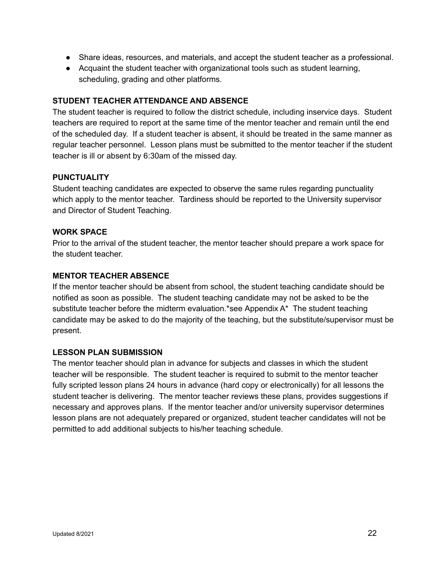- Share ideas, resources, and materials, and accept the student teacher as a professional.
- Acquaint the student teacher with organizational tools such as student learning, scheduling, grading and other platforms.

#### **STUDENT TEACHER ATTENDANCE AND ABSENCE**

The student teacher is required to follow the district schedule, including inservice days. Student teachers are required to report at the same time of the mentor teacher and remain until the end of the scheduled day. If a student teacher is absent, it should be treated in the same manner as regular teacher personnel. Lesson plans must be submitted to the mentor teacher if the student teacher is ill or absent by 6:30am of the missed day.

## **PUNCTUALITY**

Student teaching candidates are expected to observe the same rules regarding punctuality which apply to the mentor teacher. Tardiness should be reported to the University supervisor and Director of Student Teaching.

#### **WORK SPACE**

Prior to the arrival of the student teacher, the mentor teacher should prepare a work space for the student teacher.

#### **MENTOR TEACHER ABSENCE**

If the mentor teacher should be absent from school, the student teaching candidate should be notified as soon as possible. The student teaching candidate may not be asked to be the substitute teacher before the midterm evaluation.\*see Appendix A\* The student teaching candidate may be asked to do the majority of the teaching, but the substitute/supervisor must be present.

## **LESSON PLAN SUBMISSION**

The mentor teacher should plan in advance for subjects and classes in which the student teacher will be responsible. The student teacher is required to submit to the mentor teacher fully scripted lesson plans 24 hours in advance (hard copy or electronically) for all lessons the student teacher is delivering. The mentor teacher reviews these plans, provides suggestions if necessary and approves plans. If the mentor teacher and/or university supervisor determines lesson plans are not adequately prepared or organized, student teacher candidates will not be permitted to add additional subjects to his/her teaching schedule.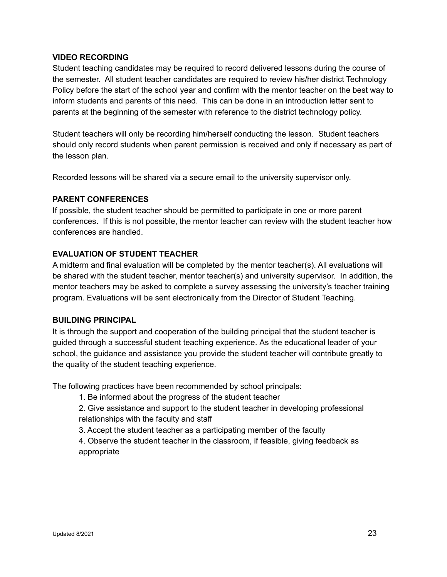## **VIDEO RECORDING**

Student teaching candidates may be required to record delivered lessons during the course of the semester. All student teacher candidates are required to review his/her district Technology Policy before the start of the school year and confirm with the mentor teacher on the best way to inform students and parents of this need. This can be done in an introduction letter sent to parents at the beginning of the semester with reference to the district technology policy.

Student teachers will only be recording him/herself conducting the lesson. Student teachers should only record students when parent permission is received and only if necessary as part of the lesson plan.

Recorded lessons will be shared via a secure email to the university supervisor only.

#### **PARENT CONFERENCES**

If possible, the student teacher should be permitted to participate in one or more parent conferences. If this is not possible, the mentor teacher can review with the student teacher how conferences are handled.

## **EVALUATION OF STUDENT TEACHER**

A midterm and final evaluation will be completed by the mentor teacher(s). All evaluations will be shared with the student teacher, mentor teacher(s) and university supervisor. In addition, the mentor teachers may be asked to complete a survey assessing the university's teacher training program. Evaluations will be sent electronically from the Director of Student Teaching.

#### **BUILDING PRINCIPAL**

It is through the support and cooperation of the building principal that the student teacher is guided through a successful student teaching experience. As the educational leader of your school, the guidance and assistance you provide the student teacher will contribute greatly to the quality of the student teaching experience.

The following practices have been recommended by school principals:

- 1. Be informed about the progress of the student teacher
- 2. Give assistance and support to the student teacher in developing professional relationships with the faculty and staff
- 3. Accept the student teacher as a participating member of the faculty
- 4. Observe the student teacher in the classroom, if feasible, giving feedback as appropriate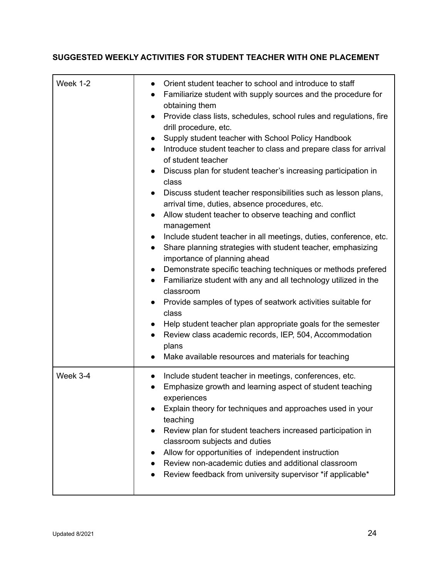## **SUGGESTED WEEKLY ACTIVITIES FOR STUDENT TEACHER WITH ONE PLACEMENT**

| Week 1-2 | Orient student teacher to school and introduce to staff<br>Familiarize student with supply sources and the procedure for<br>$\bullet$<br>obtaining them<br>Provide class lists, schedules, school rules and regulations, fire<br>$\bullet$<br>drill procedure, etc.<br>Supply student teacher with School Policy Handbook<br>$\bullet$<br>Introduce student teacher to class and prepare class for arrival<br>$\bullet$<br>of student teacher<br>Discuss plan for student teacher's increasing participation in<br>class<br>Discuss student teacher responsibilities such as lesson plans,<br>$\bullet$<br>arrival time, duties, absence procedures, etc.<br>Allow student teacher to observe teaching and conflict<br>$\bullet$<br>management<br>Include student teacher in all meetings, duties, conference, etc.<br>$\bullet$<br>Share planning strategies with student teacher, emphasizing<br>$\bullet$<br>importance of planning ahead<br>Demonstrate specific teaching techniques or methods prefered<br>$\bullet$<br>Familiarize student with any and all technology utilized in the<br>$\bullet$<br>classroom<br>Provide samples of types of seatwork activities suitable for<br>class<br>Help student teacher plan appropriate goals for the semester<br>Review class academic records, IEP, 504, Accommodation<br>$\bullet$<br>plans<br>Make available resources and materials for teaching<br>$\bullet$ |
|----------|---------------------------------------------------------------------------------------------------------------------------------------------------------------------------------------------------------------------------------------------------------------------------------------------------------------------------------------------------------------------------------------------------------------------------------------------------------------------------------------------------------------------------------------------------------------------------------------------------------------------------------------------------------------------------------------------------------------------------------------------------------------------------------------------------------------------------------------------------------------------------------------------------------------------------------------------------------------------------------------------------------------------------------------------------------------------------------------------------------------------------------------------------------------------------------------------------------------------------------------------------------------------------------------------------------------------------------------------------------------------------------------------------------------------|
| Week 3-4 | Include student teacher in meetings, conferences, etc.<br>$\bullet$<br>Emphasize growth and learning aspect of student teaching<br>$\bullet$<br>experiences<br>Explain theory for techniques and approaches used in your<br>teaching<br>Review plan for student teachers increased participation in<br>classroom subjects and duties<br>Allow for opportunities of independent instruction<br>Review non-academic duties and additional classroom<br>Review feedback from university supervisor *if applicable*                                                                                                                                                                                                                                                                                                                                                                                                                                                                                                                                                                                                                                                                                                                                                                                                                                                                                                     |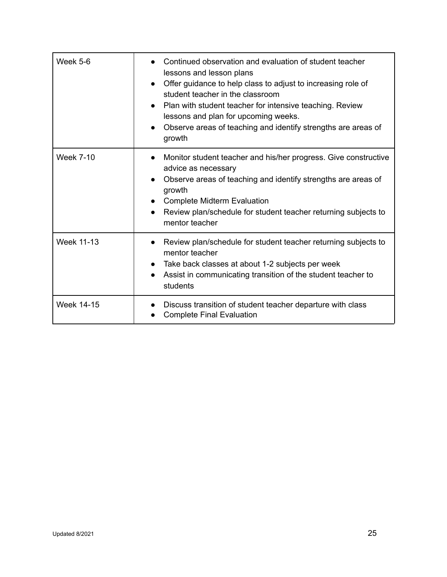| Week 5-6          | Continued observation and evaluation of student teacher<br>lessons and lesson plans<br>Offer guidance to help class to adjust to increasing role of<br>$\bullet$<br>student teacher in the classroom<br>Plan with student teacher for intensive teaching. Review<br>$\bullet$<br>lessons and plan for upcoming weeks.<br>Observe areas of teaching and identify strengths are areas of<br>growth |
|-------------------|--------------------------------------------------------------------------------------------------------------------------------------------------------------------------------------------------------------------------------------------------------------------------------------------------------------------------------------------------------------------------------------------------|
| <b>Week 7-10</b>  | Monitor student teacher and his/her progress. Give constructive<br>advice as necessary<br>Observe areas of teaching and identify strengths are areas of<br>growth<br><b>Complete Midterm Evaluation</b><br>Review plan/schedule for student teacher returning subjects to<br>mentor teacher                                                                                                      |
| <b>Week 11-13</b> | Review plan/schedule for student teacher returning subjects to<br>mentor teacher<br>Take back classes at about 1-2 subjects per week<br>$\bullet$<br>Assist in communicating transition of the student teacher to<br>students                                                                                                                                                                    |
| <b>Week 14-15</b> | Discuss transition of student teacher departure with class<br><b>Complete Final Evaluation</b>                                                                                                                                                                                                                                                                                                   |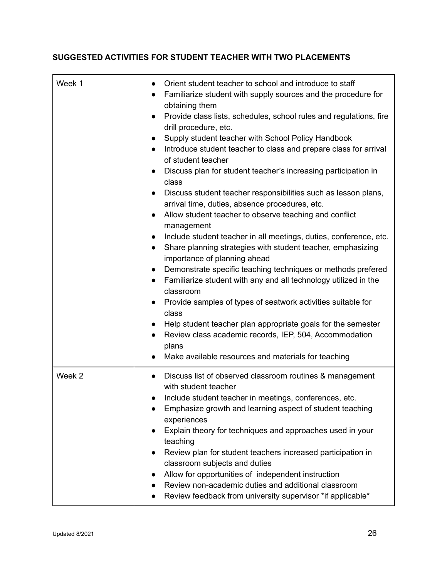## **SUGGESTED ACTIVITIES FOR STUDENT TEACHER WITH TWO PLACEMENTS**

| Week 1 | Orient student teacher to school and introduce to staff<br>$\bullet$<br>Familiarize student with supply sources and the procedure for<br>$\bullet$<br>obtaining them<br>Provide class lists, schedules, school rules and regulations, fire<br>$\bullet$<br>drill procedure, etc.<br>Supply student teacher with School Policy Handbook<br>$\bullet$<br>Introduce student teacher to class and prepare class for arrival<br>$\bullet$<br>of student teacher<br>Discuss plan for student teacher's increasing participation in<br>class<br>Discuss student teacher responsibilities such as lesson plans,<br>$\bullet$<br>arrival time, duties, absence procedures, etc.<br>Allow student teacher to observe teaching and conflict<br>$\bullet$<br>management<br>Include student teacher in all meetings, duties, conference, etc.<br>$\bullet$<br>Share planning strategies with student teacher, emphasizing<br>$\bullet$<br>importance of planning ahead<br>Demonstrate specific teaching techniques or methods prefered<br>$\bullet$<br>Familiarize student with any and all technology utilized in the<br>$\bullet$<br>classroom<br>Provide samples of types of seatwork activities suitable for<br>class<br>Help student teacher plan appropriate goals for the semester<br>Review class academic records, IEP, 504, Accommodation<br>$\bullet$<br>plans<br>Make available resources and materials for teaching<br>$\bullet$ |
|--------|----------------------------------------------------------------------------------------------------------------------------------------------------------------------------------------------------------------------------------------------------------------------------------------------------------------------------------------------------------------------------------------------------------------------------------------------------------------------------------------------------------------------------------------------------------------------------------------------------------------------------------------------------------------------------------------------------------------------------------------------------------------------------------------------------------------------------------------------------------------------------------------------------------------------------------------------------------------------------------------------------------------------------------------------------------------------------------------------------------------------------------------------------------------------------------------------------------------------------------------------------------------------------------------------------------------------------------------------------------------------------------------------------------------------------------|
| Week 2 | Discuss list of observed classroom routines & management<br>with student teacher<br>Include student teacher in meetings, conferences, etc.<br>Emphasize growth and learning aspect of student teaching<br>experiences<br>Explain theory for techniques and approaches used in your<br>teaching<br>Review plan for student teachers increased participation in<br>classroom subjects and duties<br>Allow for opportunities of independent instruction<br>Review non-academic duties and additional classroom<br>Review feedback from university supervisor *if applicable*                                                                                                                                                                                                                                                                                                                                                                                                                                                                                                                                                                                                                                                                                                                                                                                                                                                        |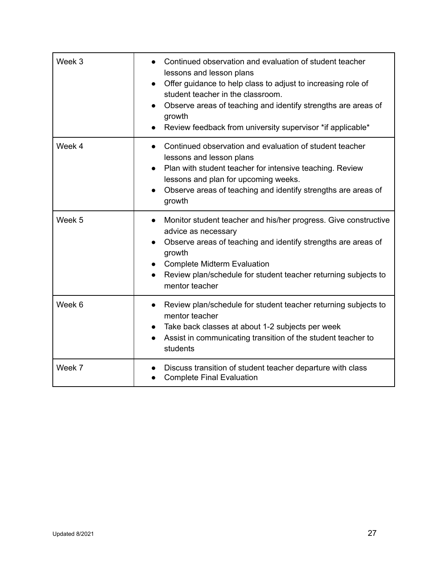| Week 3 | Continued observation and evaluation of student teacher<br>lessons and lesson plans<br>Offer guidance to help class to adjust to increasing role of<br>student teacher in the classroom.<br>Observe areas of teaching and identify strengths are areas of<br>growth<br>Review feedback from university supervisor *if applicable* |
|--------|-----------------------------------------------------------------------------------------------------------------------------------------------------------------------------------------------------------------------------------------------------------------------------------------------------------------------------------|
| Week 4 | Continued observation and evaluation of student teacher<br>$\bullet$<br>lessons and lesson plans<br>Plan with student teacher for intensive teaching. Review<br>lessons and plan for upcoming weeks.<br>Observe areas of teaching and identify strengths are areas of<br>growth                                                   |
| Week 5 | Monitor student teacher and his/her progress. Give constructive<br>$\bullet$<br>advice as necessary<br>Observe areas of teaching and identify strengths are areas of<br>$\bullet$<br>growth<br><b>Complete Midterm Evaluation</b><br>Review plan/schedule for student teacher returning subjects to<br>mentor teacher             |
| Week 6 | Review plan/schedule for student teacher returning subjects to<br>$\bullet$<br>mentor teacher<br>Take back classes at about 1-2 subjects per week<br>$\bullet$<br>Assist in communicating transition of the student teacher to<br>students                                                                                        |
| Week 7 | Discuss transition of student teacher departure with class<br><b>Complete Final Evaluation</b>                                                                                                                                                                                                                                    |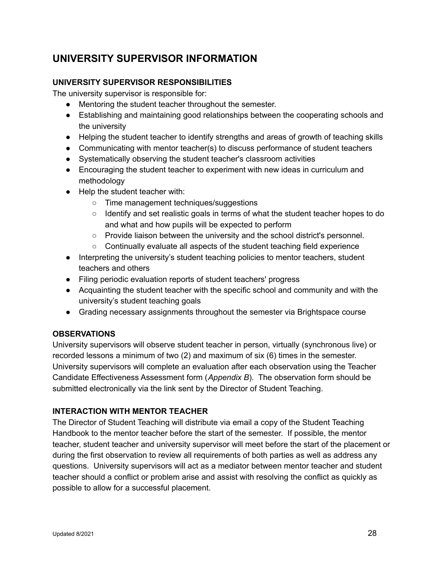## **UNIVERSITY SUPERVISOR INFORMATION**

## **UNIVERSITY SUPERVISOR RESPONSIBILITIES**

The university supervisor is responsible for:

- Mentoring the student teacher throughout the semester.
- Establishing and maintaining good relationships between the cooperating schools and the university
- Helping the student teacher to identify strengths and areas of growth of teaching skills
- Communicating with mentor teacher(s) to discuss performance of student teachers
- Systematically observing the student teacher's classroom activities
- Encouraging the student teacher to experiment with new ideas in curriculum and methodology
- Help the student teacher with:
	- Time management techniques/suggestions
	- Identify and set realistic goals in terms of what the student teacher hopes to do and what and how pupils will be expected to perform
	- Provide liaison between the university and the school district's personnel.
	- Continually evaluate all aspects of the student teaching field experience
- Interpreting the university's student teaching policies to mentor teachers, student teachers and others
- Filing periodic evaluation reports of student teachers' progress
- Acquainting the student teacher with the specific school and community and with the university's student teaching goals
- Grading necessary assignments throughout the semester via Brightspace course

## **OBSERVATIONS**

University supervisors will observe student teacher in person, virtually (synchronous live) or recorded lessons a minimum of two (2) and maximum of six (6) times in the semester. University supervisors will complete an evaluation after each observation using the Teacher Candidate Effectiveness Assessment form (*Appendix B*). The observation form should be submitted electronically via the link sent by the Director of Student Teaching.

## **INTERACTION WITH MENTOR TEACHER**

The Director of Student Teaching will distribute via email a copy of the Student Teaching Handbook to the mentor teacher before the start of the semester. If possible, the mentor teacher, student teacher and university supervisor will meet before the start of the placement or during the first observation to review all requirements of both parties as well as address any questions. University supervisors will act as a mediator between mentor teacher and student teacher should a conflict or problem arise and assist with resolving the conflict as quickly as possible to allow for a successful placement.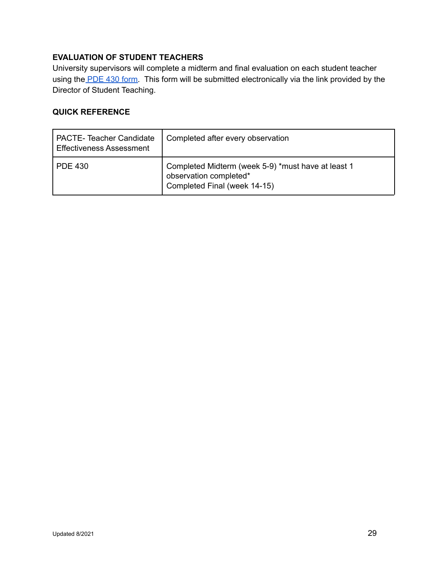## **EVALUATION OF STUDENT TEACHERS**

University supervisors will complete a midterm and final evaluation on each student teacher using the [PDE](https://www.education.pa.gov/Documents/Teachers-Administrators/Certifications/Fees%20and%20Forms/PDE%20430.pdf) 430 form. This form will be submitted electronically via the link provided by the Director of Student Teaching.

## **QUICK REFERENCE**

| PACTE-Teacher Candidate<br><b>Effectiveness Assessment</b> | Completed after every observation                                                                            |
|------------------------------------------------------------|--------------------------------------------------------------------------------------------------------------|
| PDE 430                                                    | Completed Midterm (week 5-9) *must have at least 1<br>observation completed*<br>Completed Final (week 14-15) |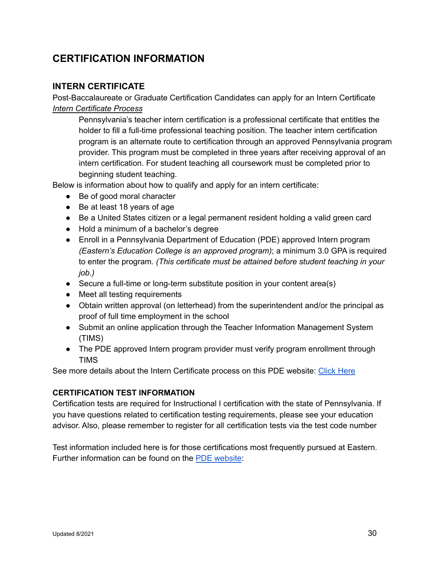## **CERTIFICATION INFORMATION**

## **INTERN CERTIFICATE**

Post-Baccalaureate or Graduate Certification Candidates can apply for an Intern Certificate *Intern Certificate Process*

Pennsylvania's teacher intern certification is a professional certificate that entitles the holder to fill a full-time professional teaching position. The teacher intern certification program is an alternate route to certification through an approved Pennsylvania program provider. This program must be completed in three years after receiving approval of an intern certification. For student teaching all coursework must be completed prior to beginning student teaching.

Below is information about how to qualify and apply for an intern certificate:

- Be of good moral character
- Be at least 18 years of age
- Be a United States citizen or a legal permanent resident holding a valid green card
- Hold a minimum of a bachelor's degree
- Enroll in a Pennsylvania Department of Education (PDE) approved Intern program *(Eastern's Education College is an approved program)*; a minimum 3.0 GPA is required to enter the program. *(This certificate must be attained before student teaching in your job.)*
- Secure a full-time or long-term substitute position in your content area(s)
- Meet all testing requirements
- Obtain written approval (on letterhead) from the superintendent and/or the principal as proof of full time employment in the school
- Submit an online application through the Teacher Information Management System (TIMS)
- The PDE approved Intern program provider must verify program enrollment through TIMS

See more details about the Intern Certificate process on this PDE website: Click [Here](https://www.education.pa.gov/Educators/Certification/CertFAQs/Pages/InternProgram.aspx)

## **CERTIFICATION TEST INFORMATION**

Certification tests are required for Instructional I certification with the state of Pennsylvania. If you have questions related to certification testing requirements, please see your education advisor. Also, please remember to register for all certification tests via the test code number

Test information included here is for those certifications most frequently pursued at Eastern. Further information can be found on the PDE [website](https://www.education.pa.gov/Educators/Certification/CertTestingRequirements/Pages/default.aspx):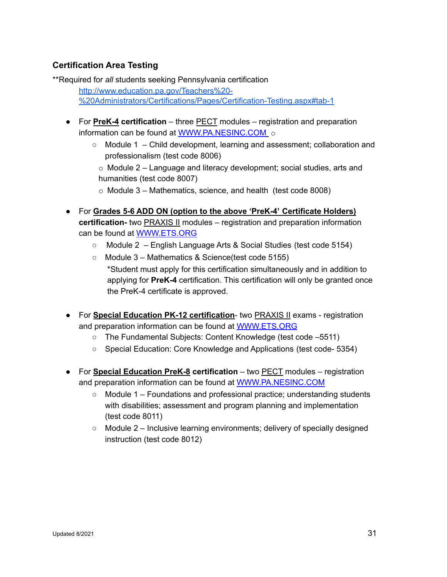## **Certification Area Testing**

\*\*Required for *all* students seeking Pennsylvania certification [http://www.education.pa.gov/Teachers%20-](http://www.education.pa.gov/Teachers%20-%20Administrators/Certifications/Pages/Certification-Testing.aspx#tab-1) [%20Administrators/Certifications/Pages/Certification-Testing.aspx#tab-1](http://www.education.pa.gov/Teachers%20-%20Administrators/Certifications/Pages/Certification-Testing.aspx#tab-1)

- For **PreK-4 certification** three PECT modules registration and preparation information can be found at [WWW.PA.NESINC.COM](http://www.pa.nesinc.com/) o
	- Module 1 Child development, learning and assessment; collaboration and professionalism (test code 8006)

o Module 2 – Language and literacy development; social studies, arts and humanities (test code 8007)

- o Module 3 Mathematics, science, and health (test code 8008)
- For **Grades 5-6 ADD ON (option to the above 'PreK-4' Certificate Holders) certification-** two PRAXIS II modules – registration and preparation information can be found at [WWW.ETS.ORG](http://www.ets.org/)
	- Module 2 English Language Arts & Social Studies (test code 5154)
	- Module 3 Mathematics & Science(test code 5155) \*Student must apply for this certification simultaneously and in addition to applying for **PreK-4** certification. This certification will only be granted once the PreK-4 certificate is approved.
- For **Special Education PK-12 certification** two PRAXIS II exams registration and preparation information can be found at [WWW.ETS.ORG](http://www.ets.org/)
	- The Fundamental Subjects: Content Knowledge (test code –5511)
	- Special Education: Core Knowledge and Applications (test code- 5354)
- For **Special Education PreK-8 certification** two PECT modules registration and preparation information can be found at [WWW.PA.NESINC.COM](http://www.pa.nesinc.com/)
	- $\circ$  Module 1 Foundations and professional practice; understanding students with disabilities; assessment and program planning and implementation (test code 8011)
	- $\circ$  Module 2 Inclusive learning environments; delivery of specially designed instruction (test code 8012)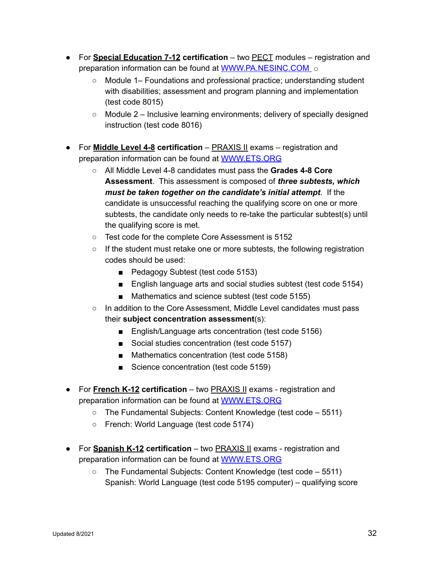- For **Special Education 7-12 certification** two PECT modules registration and preparation information can be found at [WWW.PA.NESINC.COM](http://www.pa.nesinc.com/) o
	- Module 1– Foundations and professional practice; understanding student with disabilities; assessment and program planning and implementation (test code 8015)
	- $\circ$  Module 2 Inclusive learning environments; delivery of specially designed instruction (test code 8016)
- For **Middle Level 4-8 certification** PRAXIS II exams registration and preparation information can be found at [WWW.ETS.ORG](http://www.ets.org/)
	- All Middle Level 4-8 candidates must pass the **Grades 4-8 Core Assessment**. This assessment is composed of *three subtests, which must be taken together on the candidate's initial attempt*. If the candidate is unsuccessful reaching the qualifying score on one or more subtests, the candidate only needs to re-take the particular subtest(s) until the qualifying score is met.
	- Test code for the complete Core Assessment is 5152
	- If the student must retake one or more subtests, the following registration codes should be used:
		- Pedagogy Subtest (test code 5153)
		- English language arts and social studies subtest (test code 5154)
		- Mathematics and science subtest (test code 5155)
	- In addition to the Core Assessment, Middle Level candidates must pass their **subject concentration assessment**(s):
		- English/Language arts concentration (test code 5156)
		- Social studies concentration (test code 5157)
		- Mathematics concentration (test code 5158)
		- Science concentration (test code 5159)
- For **French K-12 certification** two PRAXIS II exams registration and preparation information can be found at [WWW.ETS.ORG](http://www.ets.org/)
	- The Fundamental Subjects: Content Knowledge (test code 5511)
	- French: World Language (test code 5174)
- For **Spanish K-12 certification** two PRAXIS II exams registration and preparation information can be found at [WWW.ETS.ORG](http://www.ets.org/)
	- $\circ$  The Fundamental Subjects: Content Knowledge (test code 5511) Spanish: World Language (test code 5195 computer) – qualifying score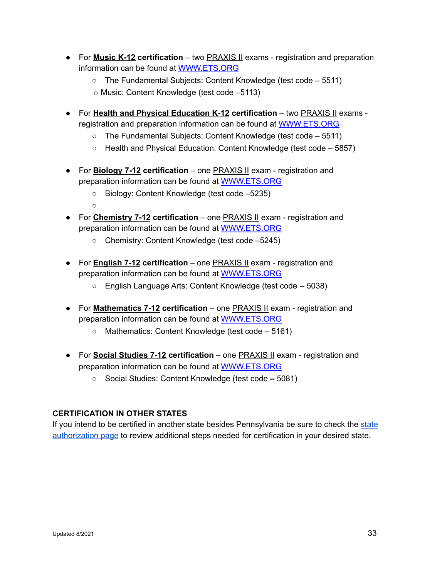- For **Music K-12 certification** two PRAXIS II exams registration and preparation information can be found at [WWW.ETS.ORG](http://www.ets.org/)
	- The Fundamental Subjects: Content Knowledge (test code 5511)
	- o Music: Content Knowledge (test code –5113)
- For **Health and Physical Education K-12 certification** two PRAXIS II exams registration and preparation information can be found at [WWW.ETS.ORG](http://www.ets.org/)
	- The Fundamental Subjects: Content Knowledge (test code 5511)
	- Health and Physical Education: Content Knowledge (test code 5857)
- For **Biology 7-12 certification** one PRAXIS II exam registration and preparation information can be found at [WWW.ETS.ORG](http://www.ets.org/)
	- Biology: Content Knowledge (test code –5235)
	- $\Omega$
- For **Chemistry 7-12 certification** one PRAXIS II exam registration and preparation information can be found at [WWW.ETS.ORG](http://www.ets.org/)
	- Chemistry: Content Knowledge (test code –5245)
- For **English 7-12 certification** one PRAXIS II exam registration and preparation information can be found at [WWW.ETS.ORG](http://www.ets.org/)
	- English Language Arts: Content Knowledge (test code 5038)
- For **Mathematics 7-12 certification** one PRAXIS II exam registration and preparation information can be found at [WWW.ETS.ORG](http://www.ets.org/)
	- Mathematics: Content Knowledge (test code 5161)
- For **Social Studies 7-12 certification** one PRAXIS II exam registration and preparation information can be found at [WWW.ETS.ORG](http://www.ets.org)
	- Social Studies: Content Knowledge (test code *–* 5081)

## **CERTIFICATION IN OTHER STATES**

If you intend to be certified in another state besides Pennsylvania be sure to check the [state](https://www.eastern.edu/about/accreditations-authorizations/state-authorizations) [authorization](https://www.eastern.edu/about/accreditations-authorizations/state-authorizations) page to review additional steps needed for certification in your desired state.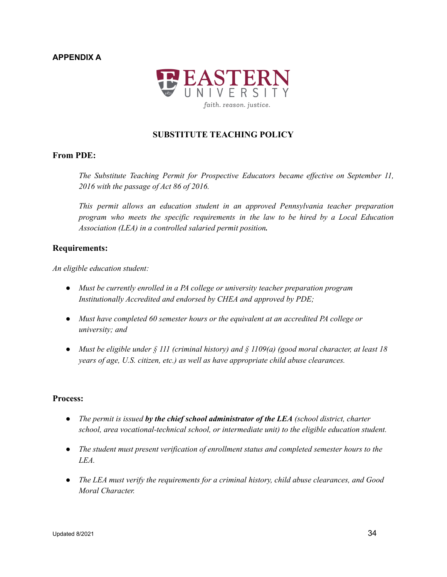## **APPENDIX A**



## **SUBSTITUTE TEACHING POLICY**

## **From PDE:**

*The Substitute Teaching Permit for Prospective Educators became ef ective on September 11, 2016 with the passage of Act 86 of 2016.*

*This permit allows an education student in an approved Pennsylvania teacher preparation program who meets the specific requirements in the law to be hired by a Local Education Association (LEA) in a controlled salaried permit position.*

#### **Requirements:**

*An eligible education student:*

- *Must be currently enrolled in a PA college or university teacher preparation program Institutionally Accredited and endorsed by CHEA and approved by PDE;*
- *Must have completed 60 semester hours or the equivalent at an accredited PA college or university; and*
- *Must be eligible under § 111 (criminal history) and § 1109(a) (good moral character, at least 18 years of age, U.S. citizen, etc.) as well as have appropriate child abuse clearances.*

#### **Process:**

- *The permit is issued by the chief school administrator of the LEA (school district, charter school, area vocational-technical school, or intermediate unit) to the eligible education student.*
- *The student must present verification of enrollment status and completed semester hours to the LEA.*
- *The LEA must verify the requirements for a criminal history, child abuse clearances, and Good Moral Character.*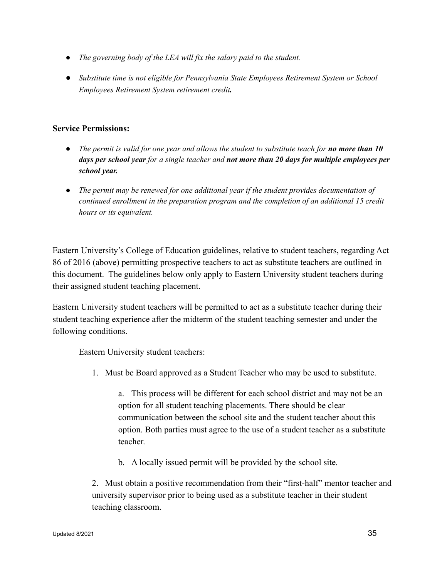- *The governing body of the LEA will fix the salary paid to the student.*
- **●** *Substitute time is not eligible for Pennsylvania State Employees Retirement System or School Employees Retirement System retirement credit.*

## **Service Permissions:**

- The permit is valid for one year and allows the student to substitute teach for **no more than 10** *days per school year for a single teacher and not more than 20 days for multiple employees per school year.*
- *The permit may be renewed for one additional year if the student provides documentation of continued enrollment in the preparation program and the completion of an additional 15 credit hours or its equivalent.*

Eastern University's College of Education guidelines, relative to student teachers, regarding Act 86 of 2016 (above) permitting prospective teachers to act as substitute teachers are outlined in this document. The guidelines below only apply to Eastern University student teachers during their assigned student teaching placement.

Eastern University student teachers will be permitted to act as a substitute teacher during their student teaching experience after the midterm of the student teaching semester and under the following conditions.

Eastern University student teachers:

1. Must be Board approved as a Student Teacher who may be used to substitute.

a. This process will be different for each school district and may not be an option for all student teaching placements. There should be clear communication between the school site and the student teacher about this option. Both parties must agree to the use of a student teacher as a substitute teacher.

b. A locally issued permit will be provided by the school site.

2. Must obtain a positive recommendation from their "first-half" mentor teacher and university supervisor prior to being used as a substitute teacher in their student teaching classroom.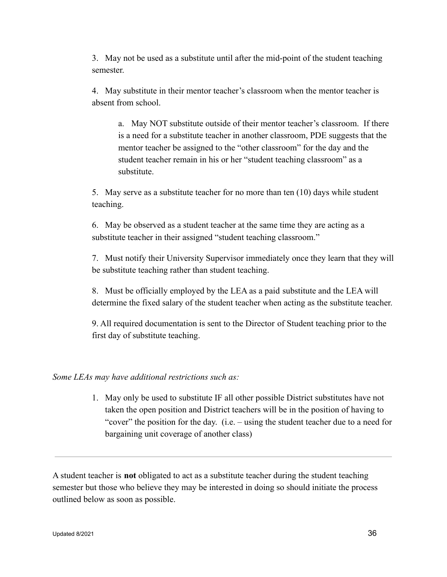3. May not be used as a substitute until after the mid-point of the student teaching semester.

4. May substitute in their mentor teacher's classroom when the mentor teacher is absent from school.

a. May NOT substitute outside of their mentor teacher's classroom. If there is a need for a substitute teacher in another classroom, PDE suggests that the mentor teacher be assigned to the "other classroom" for the day and the student teacher remain in his or her "student teaching classroom" as a substitute.

5. May serve as a substitute teacher for no more than ten (10) days while student teaching.

6. May be observed as a student teacher at the same time they are acting as a substitute teacher in their assigned "student teaching classroom."

7. Must notify their University Supervisor immediately once they learn that they will be substitute teaching rather than student teaching.

8. Must be officially employed by the LEA as a paid substitute and the LEA will determine the fixed salary of the student teacher when acting as the substitute teacher.

9. All required documentation is sent to the Director of Student teaching prior to the first day of substitute teaching.

*Some LEAs may have additional restrictions such as:*

1. May only be used to substitute IF all other possible District substitutes have not taken the open position and District teachers will be in the position of having to "cover" the position for the day. (i.e. – using the student teacher due to a need for bargaining unit coverage of another class)

A student teacher is **not** obligated to act as a substitute teacher during the student teaching semester but those who believe they may be interested in doing so should initiate the process outlined below as soon as possible.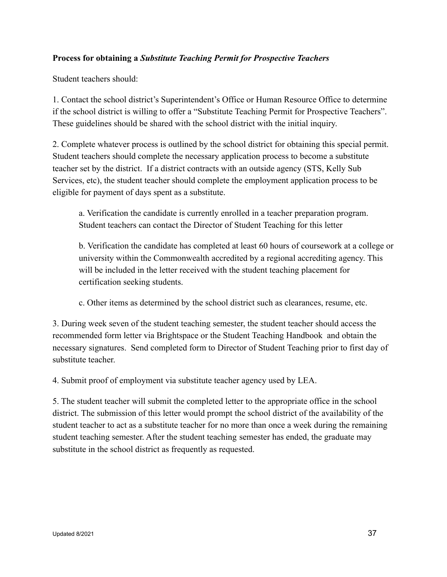## **Process for obtaining a** *Substitute Teaching Permit for Prospective Teachers*

Student teachers should:

1. Contact the school district's Superintendent's Office or Human Resource Office to determine if the school district is willing to offer a "Substitute Teaching Permit for Prospective Teachers". These guidelines should be shared with the school district with the initial inquiry.

2. Complete whatever process is outlined by the school district for obtaining this special permit. Student teachers should complete the necessary application process to become a substitute teacher set by the district. If a district contracts with an outside agency (STS, Kelly Sub Services, etc), the student teacher should complete the employment application process to be eligible for payment of days spent as a substitute.

a. Verification the candidate is currently enrolled in a teacher preparation program. Student teachers can contact the Director of Student Teaching for this letter

b. Verification the candidate has completed at least 60 hours of coursework at a college or university within the Commonwealth accredited by a regional accrediting agency. This will be included in the letter received with the student teaching placement for certification seeking students.

c. Other items as determined by the school district such as clearances, resume, etc.

3. During week seven of the student teaching semester, the student teacher should access the recommended form letter via Brightspace or the Student Teaching Handbook and obtain the necessary signatures. Send completed form to Director of Student Teaching prior to first day of substitute teacher.

4. Submit proof of employment via substitute teacher agency used by LEA.

5. The student teacher will submit the completed letter to the appropriate office in the school district. The submission of this letter would prompt the school district of the availability of the student teacher to act as a substitute teacher for no more than once a week during the remaining student teaching semester. After the student teaching semester has ended, the graduate may substitute in the school district as frequently as requested.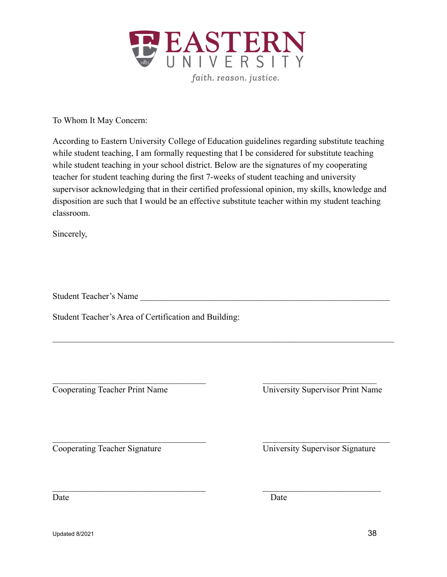

To Whom It May Concern:

According to Eastern University College of Education guidelines regarding substitute teaching while student teaching, I am formally requesting that I be considered for substitute teaching while student teaching in your school district. Below are the signatures of my cooperating teacher for student teaching during the first 7-weeks of student teaching and university supervisor acknowledging that in their certified professional opinion, my skills, knowledge and disposition are such that I would be an effective substitute teacher within my student teaching classroom.

 $\mathcal{L}_\mathcal{L} = \{ \mathcal{L}_\mathcal{L} = \{ \mathcal{L}_\mathcal{L} = \{ \mathcal{L}_\mathcal{L} = \{ \mathcal{L}_\mathcal{L} = \{ \mathcal{L}_\mathcal{L} = \{ \mathcal{L}_\mathcal{L} = \{ \mathcal{L}_\mathcal{L} = \{ \mathcal{L}_\mathcal{L} = \{ \mathcal{L}_\mathcal{L} = \{ \mathcal{L}_\mathcal{L} = \{ \mathcal{L}_\mathcal{L} = \{ \mathcal{L}_\mathcal{L} = \{ \mathcal{L}_\mathcal{L} = \{ \mathcal{L}_\mathcal{$ 

 $\mathcal{L}_\text{max}$  and the contract of the contract of the contract of the contract of the contract of the contract of

 $\mathcal{L}_\text{max} = \mathcal{L}_\text{max} = \mathcal{L}_\text{max} = \mathcal{L}_\text{max} = \mathcal{L}_\text{max} = \mathcal{L}_\text{max} = \mathcal{L}_\text{max} = \mathcal{L}_\text{max} = \mathcal{L}_\text{max} = \mathcal{L}_\text{max} = \mathcal{L}_\text{max} = \mathcal{L}_\text{max} = \mathcal{L}_\text{max} = \mathcal{L}_\text{max} = \mathcal{L}_\text{max} = \mathcal{L}_\text{max} = \mathcal{L}_\text{max} = \mathcal{L}_\text{max} = \mathcal{$ 

 $\mathcal{L}_\text{max} = \frac{1}{2} \sum_{i=1}^n \mathcal{L}_\text{max}(\mathbf{z}_i - \mathbf{z}_i)$ 

Sincerely,

Student Teacher's Name

Student Teacher's Area of Certification and Building:

Cooperating Teacher Print Name University Supervisor Print Name

Cooperating Teacher Signature University Supervisor Signature

Date Date Date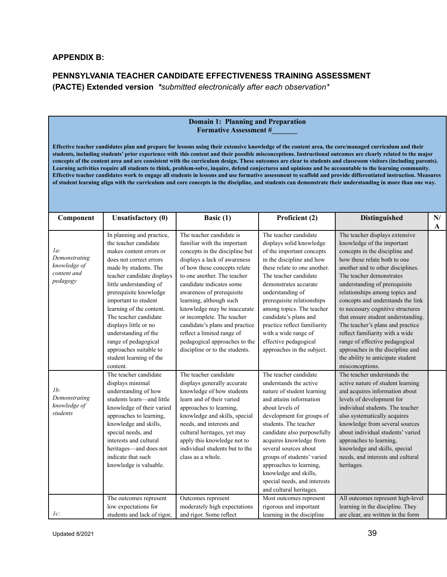#### **APPENDIX B:**

## **PENNSYLVANIA TEACHER CANDIDATE EFFECTIVENESS TRAINING ASSESSMENT (PACTE) Extended version** *\*submitted electronically after each observation\**

#### **Domain 1: Planning and Preparation Formative Assessment #\_\_\_\_\_\_\_**

Effective teacher candidates plan and prepare for lessons using their extensive knowledge of the content area, the core/managed curriculum and their students, including students' prior experience with this content and their possible misconceptions. Instructional outcomes are clearly related to the major concepts of the content area and are consistent with the curriculum design. These outcomes are clear to students and classroom visitors (including parents). Learning activities require all students to think, problem-solve, inquire, defend conjectures and opinions and be accountable to the learning community. Effective teacher candidates work to engage all students in lessons and use formative assessment to scaffold and provide differentiated instruction. Measures of student learning align with the curriculum and core concepts in the discipline, and students can demonstrate their understanding in more than one way.

| Component                                                       | <b>Unsatisfactory (0)</b>                                                                                                                                                                                                                                                                                                                                                                                                                   | Basic (1)                                                                                                                                                                                                                                                                                                                                                                                                                                                                    | Proficient (2)                                                                                                                                                                                                                                                                                                                                                                                                       | <b>Distinguished</b>                                                                                                                                                                                                                                                                                                                                                                                                                                                                                                                                                                    | N/<br>A |
|-----------------------------------------------------------------|---------------------------------------------------------------------------------------------------------------------------------------------------------------------------------------------------------------------------------------------------------------------------------------------------------------------------------------------------------------------------------------------------------------------------------------------|------------------------------------------------------------------------------------------------------------------------------------------------------------------------------------------------------------------------------------------------------------------------------------------------------------------------------------------------------------------------------------------------------------------------------------------------------------------------------|----------------------------------------------------------------------------------------------------------------------------------------------------------------------------------------------------------------------------------------------------------------------------------------------------------------------------------------------------------------------------------------------------------------------|-----------------------------------------------------------------------------------------------------------------------------------------------------------------------------------------------------------------------------------------------------------------------------------------------------------------------------------------------------------------------------------------------------------------------------------------------------------------------------------------------------------------------------------------------------------------------------------------|---------|
| la:<br>Demonstrating<br>knowledge of<br>content and<br>pedagogy | In planning and practice,<br>the teacher candidate<br>makes content errors or<br>does not correct errors<br>made by students. The<br>teacher candidate displays<br>little understanding of<br>prerequisite knowledge<br>important to student<br>learning of the content.<br>The teacher candidate<br>displays little or no<br>understanding of the<br>range of pedagogical<br>approaches suitable to<br>student learning of the<br>content. | The teacher candidate is<br>familiar with the important<br>concepts in the discipline but<br>displays a lack of awareness<br>of how these concepts relate<br>to one another. The teacher<br>candidate indicates some<br>awareness of prerequisite<br>learning, although such<br>knowledge may be inaccurate<br>or incomplete. The teacher<br>candidate's plans and practice<br>reflect a limited range of<br>pedagogical approaches to the<br>discipline or to the students. | The teacher candidate<br>displays solid knowledge<br>of the important concepts<br>in the discipline and how<br>these relate to one another.<br>The teacher candidate<br>demonstrates accurate<br>understanding of<br>prerequisite relationships<br>among topics. The teacher<br>candidate's plans and<br>practice reflect familiarity<br>with a wide range of<br>effective pedagogical<br>approaches in the subject. | The teacher displays extensive<br>knowledge of the important<br>concepts in the discipline and<br>how these relate both to one<br>another and to other disciplines.<br>The teacher demonstrates<br>understanding of prerequisite<br>relationships among topics and<br>concepts and understands the link<br>to necessary cognitive structures<br>that ensure student understanding.<br>The teacher's plans and practice<br>reflect familiarity with a wide<br>range of effective pedagogical<br>approaches in the discipline and<br>the ability to anticipate student<br>misconceptions. |         |
| $1b$ :<br>Demonstrating<br>knowledge of<br>students             | The teacher candidate<br>displays minimal<br>understanding of how<br>students learn-and little<br>knowledge of their varied<br>approaches to learning,<br>knowledge and skills,<br>special needs, and<br>interests and cultural<br>heritages-and does not<br>indicate that such<br>knowledge is valuable.                                                                                                                                   | The teacher candidate<br>displays generally accurate<br>knowledge of how students<br>learn and of their varied<br>approaches to learning,<br>knowledge and skills, special<br>needs, and interests and<br>cultural heritages, yet may<br>apply this knowledge not to<br>individual students but to the<br>class as a whole.                                                                                                                                                  | The teacher candidate<br>understands the active<br>nature of student learning<br>and attains information<br>about levels of<br>development for groups of<br>students. The teacher<br>candidate also purposefully<br>acquires knowledge from<br>several sources about<br>groups of students' varied<br>approaches to learning,<br>knowledge and skills,<br>special needs, and interests<br>and cultural heritages.    | The teacher understands the<br>active nature of student learning<br>and acquires information about<br>levels of development for<br>individual students. The teacher<br>also systematically acquires<br>knowledge from several sources<br>about individual students' varied<br>approaches to learning,<br>knowledge and skills, special<br>needs, and interests and cultural<br>heritages.                                                                                                                                                                                               |         |
| $1c$ :                                                          | The outcomes represent<br>low expectations for<br>students and lack of rigor,                                                                                                                                                                                                                                                                                                                                                               | Outcomes represent<br>moderately high expectations<br>and rigor. Some reflect                                                                                                                                                                                                                                                                                                                                                                                                | Most outcomes represent<br>rigorous and important<br>learning in the discipline                                                                                                                                                                                                                                                                                                                                      | All outcomes represent high-level<br>learning in the discipline. They<br>are clear, are written in the form                                                                                                                                                                                                                                                                                                                                                                                                                                                                             |         |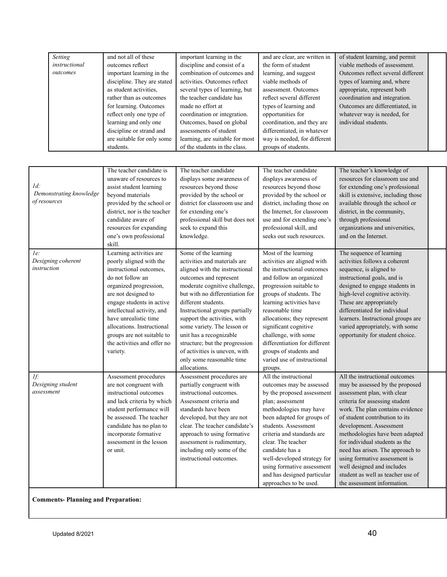| Setting       | and not all of these        | important learning in the       | and are clear, are written in | of student learning, and permit    |
|---------------|-----------------------------|---------------------------------|-------------------------------|------------------------------------|
| instructional | outcomes reflect            | discipline and consist of a     | the form of student           | viable methods of assessment.      |
| outcomes      | important learning in the   | combination of outcomes and     | learning, and suggest         | Outcomes reflect several different |
|               | discipline. They are stated | activities. Outcomes reflect    | viable methods of             | types of learning and, where       |
|               | as student activities.      | several types of learning, but  | assessment. Outcomes          | appropriate, represent both        |
|               | rather than as outcomes     | the teacher candidate has       | reflect several different     | coordination and integration.      |
|               | for learning. Outcomes      | made no effort at               | types of learning and         | Outcomes are differentiated, in    |
|               | reflect only one type of    | coordination or integration.    | opportunities for             | whatever way is needed, for        |
|               | learning and only one       | Outcomes, based on global       | coordination, and they are    | individual students.               |
|               | discipline or strand and    | assessments of student          | differentiated, in whatever   |                                    |
|               | are suitable for only some  | learning, are suitable for most | way is needed, for different  |                                    |
|               | students.                   | of the students in the class.   | groups of students.           |                                    |

| Id:<br>Demonstrating knowledge<br>of resources | The teacher candidate is<br>unaware of resources to<br>assist student learning<br>beyond materials<br>provided by the school or<br>district, nor is the teacher<br>candidate aware of<br>resources for expanding<br>one's own professional<br>skill.<br>Learning activities are                                    | The teacher candidate<br>displays some awareness of<br>resources beyond those<br>provided by the school or<br>district for classroom use and<br>for extending one's<br>professional skill but does not<br>seek to expand this<br>knowledge.<br>Some of the learning                                                                                                                                                             | The teacher candidate<br>displays awareness of<br>resources beyond those<br>provided by the school or<br>district, including those on<br>the Internet, for classroom<br>use and for extending one's<br>professional skill, and<br>seeks out such resources.<br>Most of the learning                                                                                              | The teacher's knowledge of<br>resources for classroom use and<br>for extending one's professional<br>skill is extensive, including those<br>available through the school or<br>district, in the community,<br>through professional<br>organizations and universities,<br>and on the Internet.<br>The sequence of learning                                                                                                                                                       |  |
|------------------------------------------------|--------------------------------------------------------------------------------------------------------------------------------------------------------------------------------------------------------------------------------------------------------------------------------------------------------------------|---------------------------------------------------------------------------------------------------------------------------------------------------------------------------------------------------------------------------------------------------------------------------------------------------------------------------------------------------------------------------------------------------------------------------------|----------------------------------------------------------------------------------------------------------------------------------------------------------------------------------------------------------------------------------------------------------------------------------------------------------------------------------------------------------------------------------|---------------------------------------------------------------------------------------------------------------------------------------------------------------------------------------------------------------------------------------------------------------------------------------------------------------------------------------------------------------------------------------------------------------------------------------------------------------------------------|--|
| le:<br>Designing coherent<br>instruction       | poorly aligned with the<br>instructional outcomes,<br>do not follow an<br>organized progression,<br>are not designed to<br>engage students in active<br>intellectual activity, and<br>have unrealistic time<br>allocations. Instructional<br>groups are not suitable to<br>the activities and offer no<br>variety. | activities and materials are<br>aligned with the instructional<br>outcomes and represent<br>moderate cognitive challenge,<br>but with no differentiation for<br>different students.<br>Instructional groups partially<br>support the activities, with<br>some variety. The lesson or<br>unit has a recognizable<br>structure; but the progression<br>of activities is uneven, with<br>only some reasonable time<br>allocations. | activities are aligned with<br>the instructional outcomes<br>and follow an organized<br>progression suitable to<br>groups of students. The<br>learning activities have<br>reasonable time<br>allocations; they represent<br>significant cognitive<br>challenge, with some<br>differentiation for different<br>groups of students and<br>varied use of instructional<br>groups.   | activities follows a coherent<br>sequence, is aligned to<br>instructional goals, and is<br>designed to engage students in<br>high-level cognitive activity.<br>These are appropriately<br>differentiated for individual<br>learners. Instructional groups are<br>varied appropriately, with some<br>opportunity for student choice.                                                                                                                                             |  |
| If:<br>Designing student<br>assessment         | Assessment procedures<br>are not congruent with<br>instructional outcomes<br>and lack criteria by which<br>student performance will<br>be assessed. The teacher<br>candidate has no plan to<br>incorporate formative<br>assessment in the lesson<br>or unit.                                                       | Assessment procedures are<br>partially congruent with<br>instructional outcomes.<br>Assessment criteria and<br>standards have been<br>developed, but they are not<br>clear. The teacher candidate's<br>approach to using formative<br>assessment is rudimentary,<br>including only some of the<br>instructional outcomes.                                                                                                       | All the instructional<br>outcomes may be assessed<br>by the proposed assessment<br>plan; assessment<br>methodologies may have<br>been adapted for groups of<br>students. Assessment<br>criteria and standards are<br>clear. The teacher<br>candidate has a<br>well-developed strategy for<br>using formative assessment<br>and has designed particular<br>approaches to be used. | All the instructional outcomes<br>may be assessed by the proposed<br>assessment plan, with clear<br>criteria for assessing student<br>work. The plan contains evidence<br>of student contribution to its<br>development. Assessment<br>methodologies have been adapted<br>for individual students as the<br>need has arisen. The approach to<br>using formative assessment is<br>well designed and includes<br>student as well as teacher use of<br>the assessment information. |  |

**Comments- Planning and Preparation:**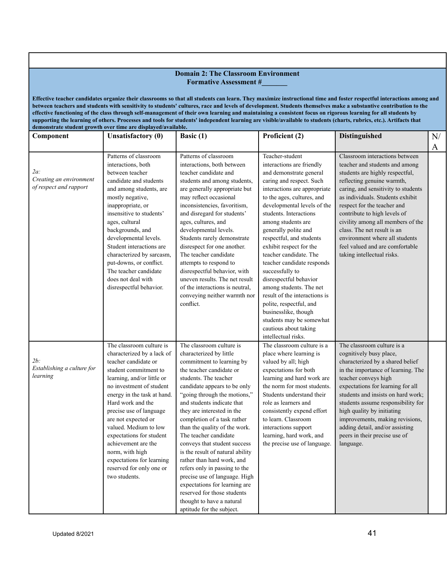|                                                             |                                                                                                                                                                                                                                                                                                                                                                                                                                                                                                                                                                                                                                                                                                                                                  | <b>Domain 2: The Classroom Environment</b>                                                                                                                                                                                                                                                                                                                                                                                                                                                                                                                                                                                                               |                                                                                                                                                                                                                                                                                                                                                                                                                                                                                                                                                                                                                                 |                                                                                                                                                                                                                                                                                                                                                                                                                                                    |    |  |  |
|-------------------------------------------------------------|--------------------------------------------------------------------------------------------------------------------------------------------------------------------------------------------------------------------------------------------------------------------------------------------------------------------------------------------------------------------------------------------------------------------------------------------------------------------------------------------------------------------------------------------------------------------------------------------------------------------------------------------------------------------------------------------------------------------------------------------------|----------------------------------------------------------------------------------------------------------------------------------------------------------------------------------------------------------------------------------------------------------------------------------------------------------------------------------------------------------------------------------------------------------------------------------------------------------------------------------------------------------------------------------------------------------------------------------------------------------------------------------------------------------|---------------------------------------------------------------------------------------------------------------------------------------------------------------------------------------------------------------------------------------------------------------------------------------------------------------------------------------------------------------------------------------------------------------------------------------------------------------------------------------------------------------------------------------------------------------------------------------------------------------------------------|----------------------------------------------------------------------------------------------------------------------------------------------------------------------------------------------------------------------------------------------------------------------------------------------------------------------------------------------------------------------------------------------------------------------------------------------------|----|--|--|
|                                                             |                                                                                                                                                                                                                                                                                                                                                                                                                                                                                                                                                                                                                                                                                                                                                  | <b>Formative Assessment #</b>                                                                                                                                                                                                                                                                                                                                                                                                                                                                                                                                                                                                                            |                                                                                                                                                                                                                                                                                                                                                                                                                                                                                                                                                                                                                                 |                                                                                                                                                                                                                                                                                                                                                                                                                                                    |    |  |  |
|                                                             | Effective teacher candidates organize their classrooms so that all students can learn. They maximize instructional time and foster respectful interactions among and<br>between teachers and students with sensitivity to students' cultures, race and levels of development. Students themselves make a substantive contribution to the<br>effective functioning of the class through self-management of their own learning and maintaining a consistent focus on rigorous learning for all students by<br>supporting the learning of others. Processes and tools for students' independent learning are visible/available to students (charts, rubrics, etc.). Artifacts that<br>demonstrate student growth over time are displayed/available. |                                                                                                                                                                                                                                                                                                                                                                                                                                                                                                                                                                                                                                                          |                                                                                                                                                                                                                                                                                                                                                                                                                                                                                                                                                                                                                                 |                                                                                                                                                                                                                                                                                                                                                                                                                                                    |    |  |  |
| Component                                                   | <b>Unsatisfactory (0)</b>                                                                                                                                                                                                                                                                                                                                                                                                                                                                                                                                                                                                                                                                                                                        | Basic (1)                                                                                                                                                                                                                                                                                                                                                                                                                                                                                                                                                                                                                                                | Proficient (2)                                                                                                                                                                                                                                                                                                                                                                                                                                                                                                                                                                                                                  | Distinguished                                                                                                                                                                                                                                                                                                                                                                                                                                      | N/ |  |  |
|                                                             |                                                                                                                                                                                                                                                                                                                                                                                                                                                                                                                                                                                                                                                                                                                                                  |                                                                                                                                                                                                                                                                                                                                                                                                                                                                                                                                                                                                                                                          |                                                                                                                                                                                                                                                                                                                                                                                                                                                                                                                                                                                                                                 |                                                                                                                                                                                                                                                                                                                                                                                                                                                    |    |  |  |
| $2a$ :<br>Creating an environment<br>of respect and rapport | Patterns of classroom<br>interactions, both<br>between teacher<br>candidate and students<br>and among students, are<br>mostly negative,<br>inappropriate, or<br>insensitive to students'<br>ages, cultural<br>backgrounds, and<br>developmental levels.<br>Student interactions are<br>characterized by sarcasm,<br>put-downs, or conflict.<br>The teacher candidate<br>does not deal with<br>disrespectful behavior.                                                                                                                                                                                                                                                                                                                            | Patterns of classroom<br>interactions, both between<br>teacher candidate and<br>students and among students,<br>are generally appropriate but<br>may reflect occasional<br>inconsistencies, favoritism,<br>and disregard for students'<br>ages, cultures, and<br>developmental levels.<br>Students rarely demonstrate<br>disrespect for one another.<br>The teacher candidate<br>attempts to respond to<br>disrespectful behavior, with<br>uneven results. The net result<br>of the interactions is neutral,<br>conveying neither warmth nor<br>conflict.                                                                                                | Teacher-student<br>interactions are friendly<br>and demonstrate general<br>caring and respect. Such<br>interactions are appropriate<br>to the ages, cultures, and<br>developmental levels of the<br>students. Interactions<br>among students are<br>generally polite and<br>respectful, and students<br>exhibit respect for the<br>teacher candidate. The<br>teacher candidate responds<br>successfully to<br>disrespectful behavior<br>among students. The net<br>result of the interactions is<br>polite, respectful, and<br>businesslike, though<br>students may be somewhat<br>cautious about taking<br>intellectual risks. | Classroom interactions between<br>teacher and students and among<br>students are highly respectful,<br>reflecting genuine warmth,<br>caring, and sensitivity to students<br>as individuals. Students exhibit<br>respect for the teacher and<br>contribute to high levels of<br>civility among all members of the<br>class. The net result is an<br>environment where all students<br>feel valued and are comfortable<br>taking intellectual risks. | A  |  |  |
| $2b$ :<br>Establishing a culture for<br>learning            | The classroom culture is<br>characterized by a lack of<br>teacher candidate or<br>student commitment to<br>learning, and/or little or<br>no investment of student<br>energy in the task at hand.<br>Hard work and the<br>precise use of language<br>are not expected or<br>valued. Medium to low<br>expectations for student<br>achievement are the<br>norm, with high<br>expectations for learning<br>reserved for only one or<br>two students.                                                                                                                                                                                                                                                                                                 | The classroom culture is<br>characterized by little<br>commitment to learning by<br>the teacher candidate or<br>students. The teacher<br>candidate appears to be only<br>"going through the motions,"<br>and students indicate that<br>they are interested in the<br>completion of a task rather<br>than the quality of the work.<br>The teacher candidate<br>conveys that student success<br>is the result of natural ability<br>rather than hard work, and<br>refers only in passing to the<br>precise use of language. High<br>expectations for learning are<br>reserved for those students<br>thought to have a natural<br>aptitude for the subject. | The classroom culture is a<br>place where learning is<br>valued by all; high<br>expectations for both<br>learning and hard work are<br>the norm for most students.<br>Students understand their<br>role as learners and<br>consistently expend effort<br>to learn. Classroom<br>interactions support<br>learning, hard work, and<br>the precise use of language.                                                                                                                                                                                                                                                                | The classroom culture is a<br>cognitively busy place,<br>characterized by a shared belief<br>in the importance of learning. The<br>teacher conveys high<br>expectations for learning for all<br>students and insists on hard work;<br>students assume responsibility for<br>high quality by initiating<br>improvements, making revisions,<br>adding detail, and/or assisting<br>peers in their precise use of<br>language.                         |    |  |  |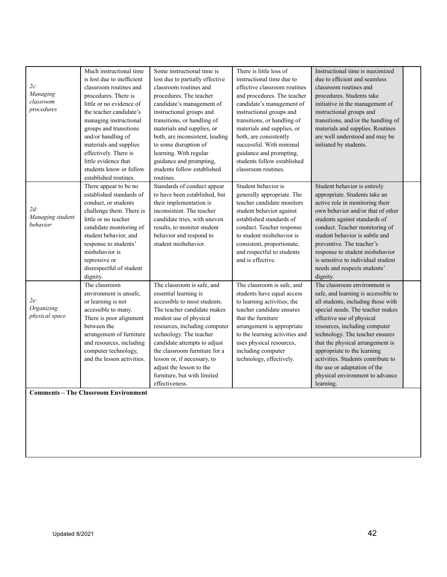| 2c:<br>Managing<br>classroom<br>procedures | Much instructional time<br>is lost due to inefficient<br>classroom routines and<br>procedures. There is<br>little or no evidence of<br>the teacher candidate's<br>managing instructional<br>groups and transitions<br>and/or handling of<br>materials and supplies<br>effectively. There is<br>little evidence that<br>students know or follow | Some instructional time is<br>lost due to partially effective<br>classroom routines and<br>procedures. The teacher<br>candidate's management of<br>instructional groups and<br>transitions, or handling of<br>materials and supplies, or<br>both, are inconsistent, leading<br>to some disruption of<br>learning. With regular<br>guidance and prompting,<br>students follow established | There is little loss of<br>instructional time due to<br>effective classroom routines<br>and procedures. The teacher<br>candidate's management of<br>instructional groups and<br>transitions, or handling of<br>materials and supplies, or<br>both, are consistently<br>successful. With minimal<br>guidance and prompting,<br>students follow established | Instructional time is maximized<br>due to efficient and seamless<br>classroom routines and<br>procedures. Students take<br>initiative in the management of<br>instructional groups and<br>transitions, and/or the handling of<br>materials and supplies. Routines<br>are well understood and may be<br>initiated by students.                                                                                                           |  |
|--------------------------------------------|------------------------------------------------------------------------------------------------------------------------------------------------------------------------------------------------------------------------------------------------------------------------------------------------------------------------------------------------|------------------------------------------------------------------------------------------------------------------------------------------------------------------------------------------------------------------------------------------------------------------------------------------------------------------------------------------------------------------------------------------|-----------------------------------------------------------------------------------------------------------------------------------------------------------------------------------------------------------------------------------------------------------------------------------------------------------------------------------------------------------|-----------------------------------------------------------------------------------------------------------------------------------------------------------------------------------------------------------------------------------------------------------------------------------------------------------------------------------------------------------------------------------------------------------------------------------------|--|
|                                            | established routines.                                                                                                                                                                                                                                                                                                                          | routines.                                                                                                                                                                                                                                                                                                                                                                                | classroom routines.                                                                                                                                                                                                                                                                                                                                       |                                                                                                                                                                                                                                                                                                                                                                                                                                         |  |
| $2d$ :<br>Managing student<br>behavior     | There appear to be no<br>established standards of<br>conduct, or students<br>challenge them. There is<br>little or no teacher<br>candidate monitoring of<br>student behavior, and<br>response to students'<br>misbehavior is<br>repressive or<br>disrespectful of student<br>dignity.                                                          | Standards of conduct appear<br>to have been established, but<br>their implementation is<br>inconsistent. The teacher<br>candidate tries, with uneven<br>results, to monitor student<br>behavior and respond to<br>student misbehavior.                                                                                                                                                   | Student behavior is<br>generally appropriate. The<br>teacher candidate monitors<br>student behavior against<br>established standards of<br>conduct. Teacher response<br>to student misbehavior is<br>consistent, proportionate,<br>and respectful to students<br>and is effective.                                                                        | Student behavior is entirely<br>appropriate. Students take an<br>active role in monitoring their<br>own behavior and/or that of other<br>students against standards of<br>conduct. Teacher monitoring of<br>student behavior is subtle and<br>preventive. The teacher's<br>response to student misbehavior<br>is sensitive to individual student<br>needs and respects students'<br>dignity.                                            |  |
| $2e$ :<br>Organizing<br>physical space     | The classroom<br>environment is unsafe,<br>or learning is not<br>accessible to many.<br>There is poor alignment<br>between the<br>arrangement of furniture<br>and resources, including<br>computer technology,<br>and the lesson activities.                                                                                                   | The classroom is safe, and<br>essential learning is<br>accessible to most students.<br>The teacher candidate makes<br>modest use of physical<br>resources, including computer<br>technology. The teacher<br>candidate attempts to adjust<br>the classroom furniture for a<br>lesson or, if necessary, to<br>adjust the lesson to the<br>furniture, but with limited<br>effectiveness.    | The classroom is safe, and<br>students have equal access<br>to learning activities; the<br>teacher candidate ensures<br>that the furniture<br>arrangement is appropriate<br>to the learning activities and<br>uses physical resources,<br>including computer<br>technology, effectively.                                                                  | The classroom environment is<br>safe, and learning is accessible to<br>all students, including those with<br>special needs. The teacher makes<br>effective use of physical<br>resources, including computer<br>technology. The teacher ensures<br>that the physical arrangement is<br>appropriate to the learning<br>activities. Students contribute to<br>the use or adaptation of the<br>physical environment to advance<br>learning. |  |

**Comments – The Classroom Environment**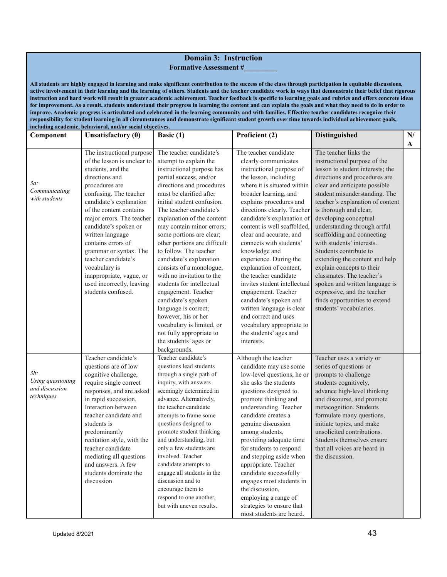|                                                             | <b>Domain 3: Instruction</b><br><b>Formative Assessment #</b>                                                                                                                                                                                                                                                                                                                                                                                                                                                                                                                                                                                                                                                                                                                                                                                                                                                                                                                                                                 |                                                                                                                                                                                                                                                                                                                                                                                                                                                                                                                                                                                                                                                                                            |                                                                                                                                                                                                                                                                                                                                                                                                                                                                                                                                                                                                                                                   |                                                                                                                                                                                                                                                                                                                                                                                                                                                                                                                                                                                                                                   |         |  |  |
|-------------------------------------------------------------|-------------------------------------------------------------------------------------------------------------------------------------------------------------------------------------------------------------------------------------------------------------------------------------------------------------------------------------------------------------------------------------------------------------------------------------------------------------------------------------------------------------------------------------------------------------------------------------------------------------------------------------------------------------------------------------------------------------------------------------------------------------------------------------------------------------------------------------------------------------------------------------------------------------------------------------------------------------------------------------------------------------------------------|--------------------------------------------------------------------------------------------------------------------------------------------------------------------------------------------------------------------------------------------------------------------------------------------------------------------------------------------------------------------------------------------------------------------------------------------------------------------------------------------------------------------------------------------------------------------------------------------------------------------------------------------------------------------------------------------|---------------------------------------------------------------------------------------------------------------------------------------------------------------------------------------------------------------------------------------------------------------------------------------------------------------------------------------------------------------------------------------------------------------------------------------------------------------------------------------------------------------------------------------------------------------------------------------------------------------------------------------------------|-----------------------------------------------------------------------------------------------------------------------------------------------------------------------------------------------------------------------------------------------------------------------------------------------------------------------------------------------------------------------------------------------------------------------------------------------------------------------------------------------------------------------------------------------------------------------------------------------------------------------------------|---------|--|--|
|                                                             | All students are highly engaged in learning and make significant contribution to the success of the class through participation in equitable discussions,<br>active involvement in their learning and the learning of others. Students and the teacher candidate work in ways that demonstrate their belief that rigorous<br>instruction and hard work will result in greater academic achievement. Teacher feedback is specific to learning goals and rubrics and offers concrete ideas<br>for improvement. As a result, students understand their progress in learning the content and can explain the goals and what they need to do in order to<br>improve. Academic progress is articulated and celebrated in the learning community and with families. Effective teacher candidates recognize their<br>responsibility for student learning in all circumstances and demonstrate significant student growth over time towards individual achievement goals,<br>including academic, behavioral, and/or social objectives. |                                                                                                                                                                                                                                                                                                                                                                                                                                                                                                                                                                                                                                                                                            |                                                                                                                                                                                                                                                                                                                                                                                                                                                                                                                                                                                                                                                   |                                                                                                                                                                                                                                                                                                                                                                                                                                                                                                                                                                                                                                   |         |  |  |
| Component                                                   | Unsatisfactory (0)                                                                                                                                                                                                                                                                                                                                                                                                                                                                                                                                                                                                                                                                                                                                                                                                                                                                                                                                                                                                            | Basic (1)                                                                                                                                                                                                                                                                                                                                                                                                                                                                                                                                                                                                                                                                                  | Proficient (2)                                                                                                                                                                                                                                                                                                                                                                                                                                                                                                                                                                                                                                    | Distinguished                                                                                                                                                                                                                                                                                                                                                                                                                                                                                                                                                                                                                     | N/<br>A |  |  |
| $3a$ :<br>Communicating<br>with students                    | The instructional purpose<br>of the lesson is unclear to<br>students, and the<br>directions and<br>procedures are<br>confusing. The teacher<br>candidate's explanation<br>of the content contains<br>major errors. The teacher<br>candidate's spoken or<br>written language<br>contains errors of<br>grammar or syntax. The<br>teacher candidate's<br>vocabulary is<br>inappropriate, vague, or<br>used incorrectly, leaving<br>students confused.                                                                                                                                                                                                                                                                                                                                                                                                                                                                                                                                                                            | The teacher candidate's<br>attempt to explain the<br>instructional purpose has<br>partial success, and/or<br>directions and procedures<br>must be clarified after<br>initial student confusion.<br>The teacher candidate's<br>explanation of the content<br>may contain minor errors;<br>some portions are clear;<br>other portions are difficult<br>to follow. The teacher<br>candidate's explanation<br>consists of a monologue,<br>with no invitation to the<br>students for intellectual<br>engagement. Teacher<br>candidate's spoken<br>language is correct;<br>however, his or her<br>vocabulary is limited, or<br>not fully appropriate to<br>the students' ages or<br>backgrounds. | The teacher candidate<br>clearly communicates<br>instructional purpose of<br>the lesson, including<br>where it is situated within<br>broader learning, and<br>explains procedures and<br>directions clearly. Teacher<br>candidate's explanation of<br>content is well scaffolded.<br>clear and accurate, and<br>connects with students'<br>knowledge and<br>experience. During the<br>explanation of content,<br>the teacher candidate<br>invites student intellectual<br>engagement. Teacher<br>candidate's spoken and<br>written language is clear<br>and correct and uses<br>vocabulary appropriate to<br>the students' ages and<br>interests. | The teacher links the<br>instructional purpose of the<br>lesson to student interests; the<br>directions and procedures are<br>clear and anticipate possible<br>student misunderstanding. The<br>teacher's explanation of content<br>is thorough and clear,<br>developing conceptual<br>understanding through artful<br>scaffolding and connecting<br>with students' interests.<br>Students contribute to<br>extending the content and help<br>explain concepts to their<br>classmates. The teacher's<br>spoken and written language is<br>expressive, and the teacher<br>finds opportunities to extend<br>students' vocabularies. |         |  |  |
| $3b$ :<br>Using questioning<br>and discussion<br>techniques | Teacher candidate's<br>questions are of low<br>cognitive challenge,<br>require single correct<br>responses, and are asked<br>in rapid succession.<br>Interaction between<br>teacher candidate and<br>students is<br>predominantly<br>recitation style, with the<br>teacher candidate<br>mediating all questions<br>and answers. A few<br>students dominate the<br>discussion                                                                                                                                                                                                                                                                                                                                                                                                                                                                                                                                                                                                                                                  | Teacher candidate's<br>questions lead students<br>through a single path of<br>inquiry, with answers<br>seemingly determined in<br>advance. Alternatively,<br>the teacher candidate<br>attempts to frame some<br>questions designed to<br>promote student thinking<br>and understanding, but<br>only a few students are<br>involved. Teacher<br>candidate attempts to<br>engage all students in the<br>discussion and to<br>encourage them to<br>respond to one another,<br>but with uneven results.                                                                                                                                                                                        | Although the teacher<br>candidate may use some<br>low-level questions, he or<br>she asks the students<br>questions designed to<br>promote thinking and<br>understanding. Teacher<br>candidate creates a<br>genuine discussion<br>among students,<br>providing adequate time<br>for students to respond<br>and stepping aside when<br>appropriate. Teacher<br>candidate successfully<br>engages most students in<br>the discussion,<br>employing a range of<br>strategies to ensure that<br>most students are heard.                                                                                                                               | Teacher uses a variety or<br>series of questions or<br>prompts to challenge<br>students cognitively,<br>advance high-level thinking<br>and discourse, and promote<br>metacognition. Students<br>formulate many questions,<br>initiate topics, and make<br>unsolicited contributions.<br>Students themselves ensure<br>that all voices are heard in<br>the discussion.                                                                                                                                                                                                                                                             |         |  |  |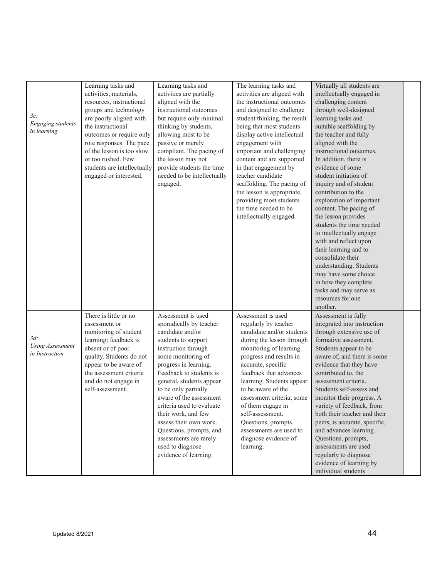|                          | Learning tasks and                       | Learning tasks and                               | The learning tasks and                          | Virtually all students are                             |  |
|--------------------------|------------------------------------------|--------------------------------------------------|-------------------------------------------------|--------------------------------------------------------|--|
|                          | activities, materials,                   | activities are partially                         | activities are aligned with                     | intellectually engaged in                              |  |
|                          | resources, instructional                 | aligned with the                                 | the instructional outcomes                      | challenging content                                    |  |
|                          | groups and technology                    | instructional outcomes                           | and designed to challenge                       | through well-designed                                  |  |
| $3c$ :                   | are poorly aligned with                  | but require only minimal                         | student thinking, the result                    | learning tasks and                                     |  |
| <b>Engaging</b> students | the instructional                        | thinking by students,                            | being that most students                        | suitable scaffolding by                                |  |
| in learning              | outcomes or require only                 | allowing most to be                              | display active intellectual                     | the teacher and fully                                  |  |
|                          | rote responses. The pace                 | passive or merely                                | engagement with                                 | aligned with the                                       |  |
|                          | of the lesson is too slow                | compliant. The pacing of                         | important and challenging                       | instructional outcomes.                                |  |
|                          | or too rushed. Few                       | the lesson may not                               | content and are supported                       | In addition, there is                                  |  |
|                          | students are intellectually              | provide students the time                        | in that engagement by                           | evidence of some                                       |  |
|                          | engaged or interested.                   | needed to be intellectually                      | teacher candidate                               | student initiation of                                  |  |
|                          |                                          | engaged.                                         | scaffolding. The pacing of                      | inquiry and of student                                 |  |
|                          |                                          |                                                  | the lesson is appropriate,                      | contribution to the                                    |  |
|                          |                                          |                                                  | providing most students                         | exploration of important                               |  |
|                          |                                          |                                                  | the time needed to be                           | content. The pacing of                                 |  |
|                          |                                          |                                                  | intellectually engaged.                         | the lesson provides                                    |  |
|                          |                                          |                                                  |                                                 | students the time needed                               |  |
|                          |                                          |                                                  |                                                 | to intellectually engage                               |  |
|                          |                                          |                                                  |                                                 | with and reflect upon                                  |  |
|                          |                                          |                                                  |                                                 | their learning and to                                  |  |
|                          |                                          |                                                  |                                                 | consolidate their                                      |  |
|                          |                                          |                                                  |                                                 | understanding. Students                                |  |
|                          |                                          |                                                  |                                                 | may have some choice                                   |  |
|                          |                                          |                                                  |                                                 | in how they complete                                   |  |
|                          |                                          |                                                  |                                                 | tasks and may serve as                                 |  |
|                          |                                          |                                                  |                                                 | resources for one                                      |  |
|                          |                                          |                                                  |                                                 | another.                                               |  |
|                          | There is little or no                    | Assessment is used                               | Assessment is used                              | Assessment is fully                                    |  |
|                          | assessment or                            | sporadically by teacher                          | regularly by teacher                            | integrated into instruction                            |  |
| $3d$ :                   | monitoring of student                    | candidate and/or                                 | candidate and/or students                       | through extensive use of                               |  |
| <b>Using Assessment</b>  | learning; feedback is                    | students to support                              | during the lesson through                       | formative assessment.                                  |  |
| in Instruction           | absent or of poor                        | instruction through                              | monitoring of learning                          | Students appear to be                                  |  |
|                          | quality. Students do not                 | some monitoring of                               | progress and results in                         | aware of, and there is some                            |  |
|                          | appear to be aware of                    | progress in learning.<br>Feedback to students is | accurate, specific                              | evidence that they have                                |  |
|                          | the assessment criteria                  | general, students appear                         | feedback that advances                          | contributed to, the<br>assessment criteria.            |  |
|                          | and do not engage in<br>self-assessment. |                                                  | learning. Students appear<br>to be aware of the | Students self-assess and                               |  |
|                          |                                          | to be only partially<br>aware of the assessment  |                                                 |                                                        |  |
|                          |                                          |                                                  | assessment criteria; some                       | monitor their progress. A<br>variety of feedback, from |  |
|                          |                                          | criteria used to evaluate<br>their work, and few | of them engage in<br>self-assessment.           | both their teacher and their                           |  |
|                          |                                          | assess their own work.                           | Questions, prompts,                             | peers, is accurate, specific,                          |  |
|                          |                                          | Questions, prompts, and                          | assessments are used to                         | and advances learning.                                 |  |
|                          |                                          | assessments are rarely                           | diagnose evidence of                            | Questions, prompts,                                    |  |
|                          |                                          | used to diagnose                                 | learning.                                       | assessments are used                                   |  |
|                          |                                          | evidence of learning.                            |                                                 | regularly to diagnose                                  |  |
|                          |                                          |                                                  |                                                 | evidence of learning by                                |  |
|                          |                                          |                                                  |                                                 | individual students                                    |  |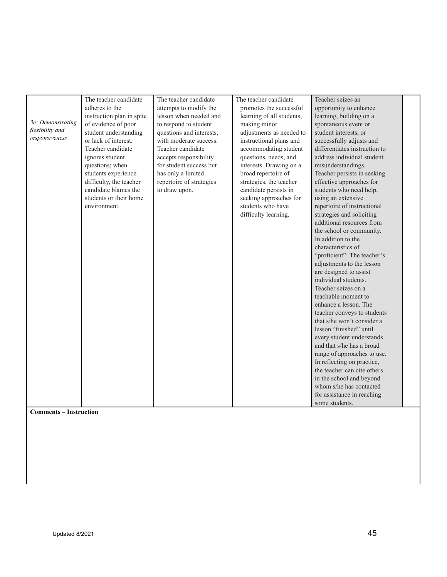| 3e: Demonstrating<br>flexibility and<br>responsiveness<br><b>Comments - Instruction</b> | The teacher candidate<br>adheres to the<br>instruction plan in spite<br>of evidence of poor<br>student understanding<br>or lack of interest.<br>Teacher candidate<br>ignores student<br>questions; when<br>students experience<br>difficulty, the teacher<br>candidate blames the<br>students or their home<br>environment. | The teacher candidate<br>attempts to modify the<br>lesson when needed and<br>to respond to student<br>questions and interests,<br>with moderate success.<br>Teacher candidate<br>accepts responsibility<br>for student success but<br>has only a limited<br>repertoire of strategies<br>to draw upon. | The teacher candidate<br>promotes the successful<br>learning of all students,<br>making minor<br>adjustments as needed to<br>instructional plans and<br>accommodating student<br>questions, needs, and<br>interests. Drawing on a<br>broad repertoire of<br>strategies, the teacher<br>candidate persists in<br>seeking approaches for<br>students who have<br>difficulty learning. | Teacher seizes an<br>opportunity to enhance<br>learning, building on a<br>spontaneous event or<br>student interests, or<br>successfully adjusts and<br>differentiates instruction to<br>address individual student<br>misunderstandings.<br>Teacher persists in seeking<br>effective approaches for<br>students who need help,<br>using an extensive<br>repertoire of instructional<br>strategies and soliciting<br>additional resources from<br>the school or community.<br>In addition to the<br>characteristics of<br>"proficient": The teacher's<br>adjustments to the lesson<br>are designed to assist<br>individual students.<br>Teacher seizes on a<br>teachable moment to<br>enhance a lesson. The<br>teacher conveys to students<br>that s/he won't consider a<br>lesson "finished" until<br>every student understands<br>and that s/he has a broad<br>range of approaches to use.<br>In reflecting on practice,<br>the teacher can cite others<br>in the school and beyond<br>whom s/he has contacted<br>for assistance in reaching<br>some students. |  |
|-----------------------------------------------------------------------------------------|-----------------------------------------------------------------------------------------------------------------------------------------------------------------------------------------------------------------------------------------------------------------------------------------------------------------------------|-------------------------------------------------------------------------------------------------------------------------------------------------------------------------------------------------------------------------------------------------------------------------------------------------------|-------------------------------------------------------------------------------------------------------------------------------------------------------------------------------------------------------------------------------------------------------------------------------------------------------------------------------------------------------------------------------------|-----------------------------------------------------------------------------------------------------------------------------------------------------------------------------------------------------------------------------------------------------------------------------------------------------------------------------------------------------------------------------------------------------------------------------------------------------------------------------------------------------------------------------------------------------------------------------------------------------------------------------------------------------------------------------------------------------------------------------------------------------------------------------------------------------------------------------------------------------------------------------------------------------------------------------------------------------------------------------------------------------------------------------------------------------------------|--|
|-----------------------------------------------------------------------------------------|-----------------------------------------------------------------------------------------------------------------------------------------------------------------------------------------------------------------------------------------------------------------------------------------------------------------------------|-------------------------------------------------------------------------------------------------------------------------------------------------------------------------------------------------------------------------------------------------------------------------------------------------------|-------------------------------------------------------------------------------------------------------------------------------------------------------------------------------------------------------------------------------------------------------------------------------------------------------------------------------------------------------------------------------------|-----------------------------------------------------------------------------------------------------------------------------------------------------------------------------------------------------------------------------------------------------------------------------------------------------------------------------------------------------------------------------------------------------------------------------------------------------------------------------------------------------------------------------------------------------------------------------------------------------------------------------------------------------------------------------------------------------------------------------------------------------------------------------------------------------------------------------------------------------------------------------------------------------------------------------------------------------------------------------------------------------------------------------------------------------------------|--|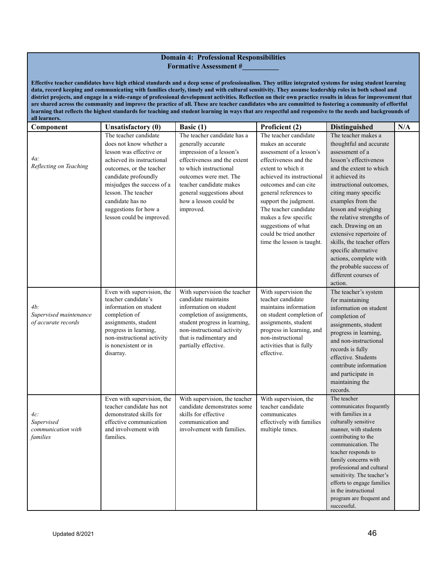#### **Domain 4: Professional Responsibilities Formative Assessment #\_\_\_\_\_\_\_\_\_\_**

Effective teacher candidates have high ethical standards and a deep sense of professionalism. They utilize integrated systems for using student learning data, record keeping and communicating with families clearly, timely and with cultural sensitivity. They assume leadership roles in both school and district projects, and engage in a wide-range of professional development activities. Reflection on their own practice results in ideas for improvement that are shared across the community and improve the practice of all. These are teacher candidates who are committed to fostering a community of effortful learning that reflects the highest standards for teaching and student learning in ways that are respectful and responsive to the needs and backgrounds of **all learner** 

| Component              | <b>Unsatisfactory (0)</b>                               | Basic $(1)$                                                  | Proficient (2)                             | Distinguished              | N/A |
|------------------------|---------------------------------------------------------|--------------------------------------------------------------|--------------------------------------------|----------------------------|-----|
|                        | The teacher candidate                                   | The teacher candidate has a                                  | The teacher candidate                      | The teacher makes a        |     |
|                        | does not know whether a                                 | generally accurate                                           | makes an accurate                          | thoughtful and accurate    |     |
|                        | lesson was effective or                                 | impression of a lesson's                                     | assessment of a lesson's                   | assessment of a            |     |
| 4a:                    | achieved its instructional                              | effectiveness and the extent                                 | effectiveness and the                      | lesson's effectiveness     |     |
| Reflecting on Teaching | outcomes, or the teacher                                | to which instructional                                       | extent to which it                         | and the extent to which    |     |
|                        | candidate profoundly                                    | outcomes were met. The                                       | achieved its instructional                 | it achieved its            |     |
|                        | misjudges the success of a                              | teacher candidate makes                                      | outcomes and can cite                      | instructional outcomes.    |     |
|                        | lesson. The teacher                                     | general suggestions about                                    | general references to                      | citing many specific       |     |
|                        | candidate has no                                        | how a lesson could be                                        | support the judgment.                      | examples from the          |     |
|                        | suggestions for how a                                   | improved.                                                    | The teacher candidate                      | lesson and weighing        |     |
|                        | lesson could be improved.                               |                                                              | makes a few specific                       | the relative strengths of  |     |
|                        |                                                         |                                                              | suggestions of what                        | each. Drawing on an        |     |
|                        |                                                         |                                                              | could be tried another                     | extensive repertoire of    |     |
|                        |                                                         |                                                              | time the lesson is taught.                 | skills, the teacher offers |     |
|                        |                                                         |                                                              |                                            | specific alternative       |     |
|                        |                                                         |                                                              |                                            | actions, complete with     |     |
|                        |                                                         |                                                              |                                            | the probable success of    |     |
|                        |                                                         |                                                              |                                            | different courses of       |     |
|                        |                                                         |                                                              |                                            | action.                    |     |
|                        | Even with supervision, the                              | With supervision the teacher                                 | With supervision the                       | The teacher's system       |     |
|                        | teacher candidate's                                     | candidate maintains                                          | teacher candidate                          | for maintaining            |     |
| $4b$ :                 | information on student                                  | information on student                                       | maintains information                      | information on student     |     |
| Supervised maintenance | completion of                                           | completion of assignments,                                   | on student completion of                   | completion of              |     |
| of accurate records    | assignments, student                                    | student progress in learning,                                | assignments, student                       | assignments, student       |     |
|                        | progress in learning,                                   | non-instructional activity                                   | progress in learning, and                  | progress in learning,      |     |
|                        | non-instructional activity                              | that is rudimentary and                                      | non-instructional                          | and non-instructional      |     |
|                        | is nonexistent or in                                    | partially effective.                                         | activities that is fully                   | records is fully           |     |
|                        | disarray.                                               |                                                              | effective.                                 | effective. Students        |     |
|                        |                                                         |                                                              |                                            | contribute information     |     |
|                        |                                                         |                                                              |                                            |                            |     |
|                        |                                                         |                                                              |                                            | and participate in         |     |
|                        |                                                         |                                                              |                                            | maintaining the            |     |
|                        |                                                         |                                                              |                                            | records.<br>The teacher    |     |
|                        | Even with supervision, the<br>teacher candidate has not | With supervision, the teacher<br>candidate demonstrates some | With supervision, the<br>teacher candidate | communicates frequently    |     |
|                        | demonstrated skills for                                 | skills for effective                                         | communicates                               | with families in a         |     |
| 4с:<br>Supervised      | effective communication                                 | communication and                                            | effectively with families                  | culturally sensitive       |     |
| communication with     | and involvement with                                    | involvement with families.                                   | multiple times.                            | manner, with students      |     |
| families               | families.                                               |                                                              |                                            | contributing to the        |     |
|                        |                                                         |                                                              |                                            | communication. The         |     |
|                        |                                                         |                                                              |                                            | teacher responds to        |     |
|                        |                                                         |                                                              |                                            | family concerns with       |     |
|                        |                                                         |                                                              |                                            | professional and cultural  |     |
|                        |                                                         |                                                              |                                            | sensitivity. The teacher's |     |
|                        |                                                         |                                                              |                                            | efforts to engage families |     |
|                        |                                                         |                                                              |                                            | in the instructional       |     |
|                        |                                                         |                                                              |                                            | program are frequent and   |     |
|                        |                                                         |                                                              |                                            | successful.                |     |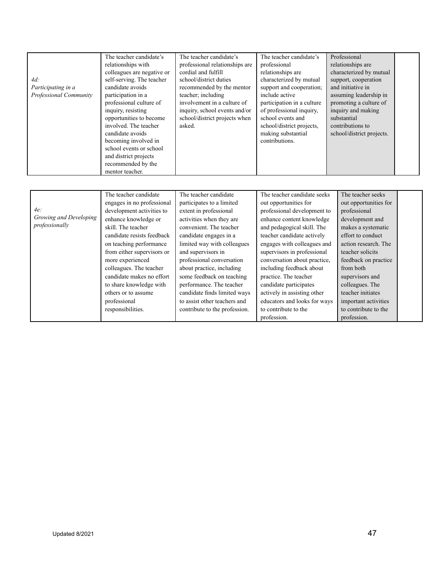| $4d$ :<br>Participating in a<br>Professional Community | The teacher candidate's<br>relationships with<br>colleagues are negative or<br>self-serving. The teacher<br>candidate avoids<br>participation in a<br>professional culture of<br>inquiry, resisting<br>opportunities to become<br>involved. The teacher<br>candidate avoids<br>becoming involved in<br>school events or school<br>and district projects<br>recommended by the<br>mentor teacher. | The teacher candidate's<br>professional relationships are<br>cordial and fulfill<br>school/district duties<br>recommended by the mentor<br>teacher; including<br>involvement in a culture of<br>inquiry, school events and/or<br>school/district projects when<br>asked.                                                                                                                                                               | The teacher candidate's<br>professional<br>relationships are<br>characterized by mutual<br>support and cooperation;<br>include active<br>participation in a culture<br>of professional inquiry,<br>school events and<br>school/district projects,<br>making substantial<br>contributions.                                                                                                                                                                       | Professional<br>relationships are<br>characterized by mutual<br>support, cooperation<br>and initiative in<br>assuming leadership in<br>promoting a culture of<br>inquiry and making<br>substantial<br>contributions to<br>school/district projects.                                                                                 |  |
|--------------------------------------------------------|--------------------------------------------------------------------------------------------------------------------------------------------------------------------------------------------------------------------------------------------------------------------------------------------------------------------------------------------------------------------------------------------------|----------------------------------------------------------------------------------------------------------------------------------------------------------------------------------------------------------------------------------------------------------------------------------------------------------------------------------------------------------------------------------------------------------------------------------------|-----------------------------------------------------------------------------------------------------------------------------------------------------------------------------------------------------------------------------------------------------------------------------------------------------------------------------------------------------------------------------------------------------------------------------------------------------------------|-------------------------------------------------------------------------------------------------------------------------------------------------------------------------------------------------------------------------------------------------------------------------------------------------------------------------------------|--|
| 4e<br>Growing and Developing<br>professionally         | The teacher candidate<br>engages in no professional<br>development activities to<br>enhance knowledge or<br>skill The teacher<br>candidate resists feedback<br>on teaching performance<br>from either supervisors or<br>more experienced<br>colleagues. The teacher<br>candidate makes no effort<br>to share knowledge with<br>others or to assume<br>professional<br>responsibilities.          | The teacher candidate<br>participates to a limited<br>extent in professional<br>activities when they are<br>convenient. The teacher<br>candidate engages in a<br>limited way with colleagues<br>and supervisors in<br>professional conversation<br>about practice, including<br>some feedback on teaching<br>performance. The teacher<br>candidate finds limited ways<br>to assist other teachers and<br>contribute to the profession. | The teacher candidate seeks<br>out opportunities for<br>professional development to<br>enhance content knowledge<br>and pedagogical skill. The<br>teacher candidate actively<br>engages with colleagues and<br>supervisors in professional<br>conversation about practice,<br>including feedback about<br>practice. The teacher<br>candidate participates<br>actively in assisting other<br>educators and looks for ways<br>to contribute to the<br>profession. | The teacher seeks<br>out opportunities for<br>professional<br>development and<br>makes a systematic<br>effort to conduct<br>action research. The<br>teacher solicits<br>feedback on practice<br>from both<br>supervisors and<br>colleagues. The<br>teacher initiates<br>important activities<br>to contribute to the<br>profession. |  |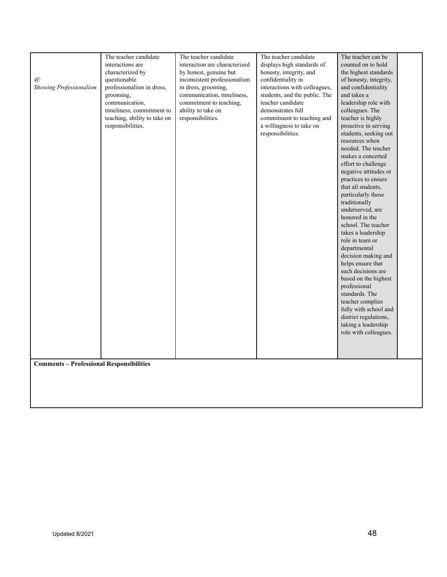|                                                 | The teacher candidate        | The teacher candidate         | The teacher candidate         | The teacher can be                 |
|-------------------------------------------------|------------------------------|-------------------------------|-------------------------------|------------------------------------|
|                                                 | interactions are             | interaction are characterized | displays high standards of    | counted on to hold                 |
|                                                 | characterized by             | by honest, genuine but        | honesty, integrity, and       | the highest standards              |
| $4f$ :                                          | questionable                 | inconsistent professionalism  | confidentiality in            | of honesty, integrity,             |
| Showing Professionalism                         | professionalism in dress,    | in dress, grooming,           | interactions with colleagues, | and confidentiality                |
|                                                 | grooming.                    | communication, timeliness,    | students, and the public. The | and takes a                        |
|                                                 | communication,               | commitment to teaching,       | teacher candidate             | leadership role with               |
|                                                 | timeliness, commitment to    | ability to take on            | demonstrates full             | colleagues. The                    |
|                                                 | teaching, ability to take on | responsibilities.             | commitment to teaching and    | teacher is highly                  |
|                                                 | responsibilities.            |                               | a willingness to take on      | proactive in serving               |
|                                                 |                              |                               | responsibilities.             | students, seeking out              |
|                                                 |                              |                               |                               | resources when                     |
|                                                 |                              |                               |                               | needed. The teacher                |
|                                                 |                              |                               |                               | makes a concerted                  |
|                                                 |                              |                               |                               | effort to challenge                |
|                                                 |                              |                               |                               | negative attitudes or              |
|                                                 |                              |                               |                               | practices to ensure                |
|                                                 |                              |                               |                               | that all students,                 |
|                                                 |                              |                               |                               | particularly those                 |
|                                                 |                              |                               |                               | traditionally                      |
|                                                 |                              |                               |                               | underserved, are                   |
|                                                 |                              |                               |                               | honored in the                     |
|                                                 |                              |                               |                               | school. The teacher                |
|                                                 |                              |                               |                               | takes a leadership                 |
|                                                 |                              |                               |                               | role in team or                    |
|                                                 |                              |                               |                               | departmental                       |
|                                                 |                              |                               |                               | decision making and                |
|                                                 |                              |                               |                               | helps ensure that                  |
|                                                 |                              |                               |                               | such decisions are                 |
|                                                 |                              |                               |                               | based on the highest               |
|                                                 |                              |                               |                               | professional                       |
|                                                 |                              |                               |                               | standards. The<br>teacher complies |
|                                                 |                              |                               |                               | fully with school and              |
|                                                 |                              |                               |                               | district regulations,              |
|                                                 |                              |                               |                               | taking a leadership                |
|                                                 |                              |                               |                               | role with colleagues.              |
|                                                 |                              |                               |                               |                                    |
|                                                 |                              |                               |                               |                                    |
|                                                 |                              |                               |                               |                                    |
| <b>Comments - Professional Responsibilities</b> |                              |                               |                               |                                    |
|                                                 |                              |                               |                               |                                    |
|                                                 |                              |                               |                               |                                    |
|                                                 |                              |                               |                               |                                    |
|                                                 |                              |                               |                               |                                    |
|                                                 |                              |                               |                               |                                    |